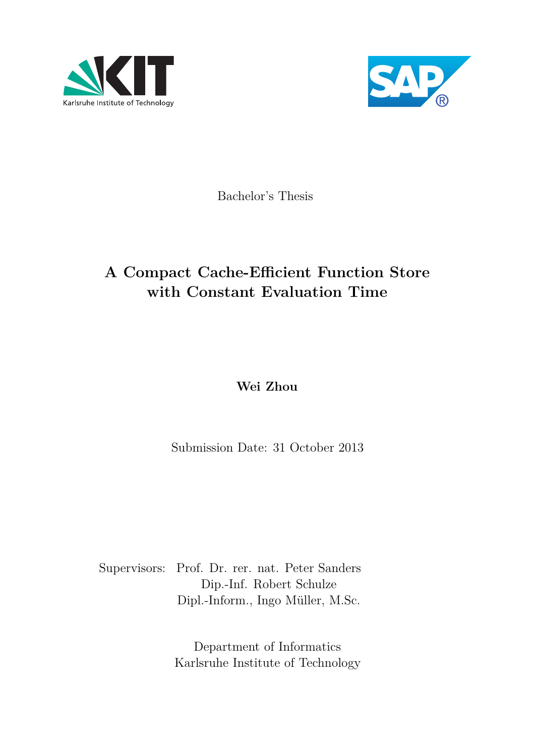



Bachelor's Thesis

## **A Compact Cache-Efficient Function Store with Constant Evaluation Time**

**Wei Zhou**

Submission Date: 31 October 2013

Supervisors: Prof. Dr. rer. nat. Peter Sanders Dip.-Inf. Robert Schulze Dipl.-Inform., Ingo Müller, M.Sc.

> Department of Informatics Karlsruhe Institute of Technology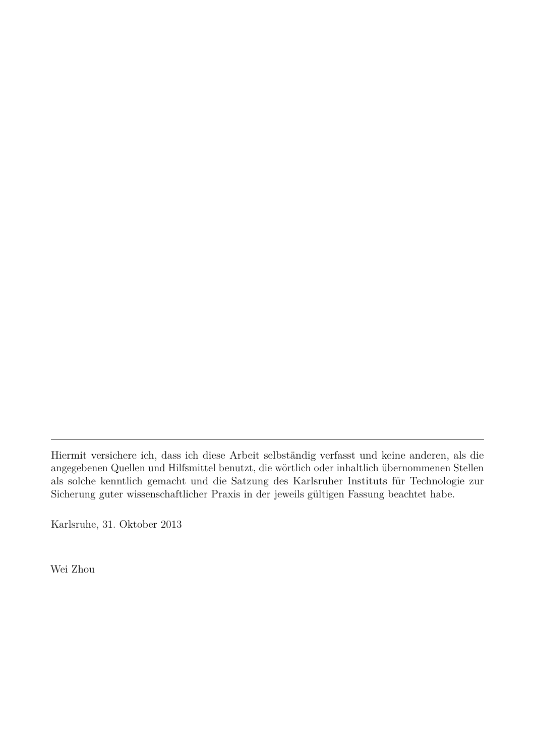Hiermit versichere ich, dass ich diese Arbeit selbständig verfasst und keine anderen, als die angegebenen Quellen und Hilfsmittel benutzt, die wörtlich oder inhaltlich übernommenen Stellen als solche kenntlich gemacht und die Satzung des Karlsruher Instituts für Technologie zur Sicherung guter wissenschaftlicher Praxis in der jeweils gültigen Fassung beachtet habe.

Karlsruhe, 31. Oktober 2013

Wei Zhou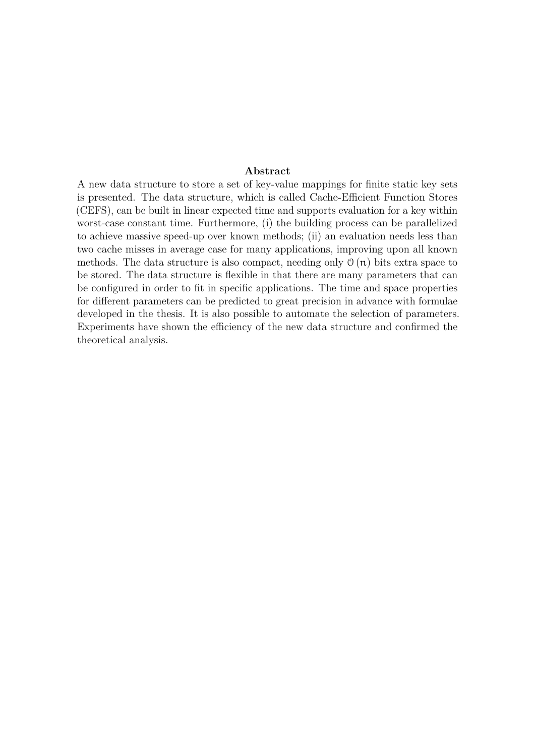#### **Abstract**

A new data structure to store a set of key-value mappings for finite static key sets is presented. The data structure, which is called Cache-Efficient Function Stores (CEFS), can be built in linear expected time and supports evaluation for a key within worst-case constant time. Furthermore, (i) the building process can be parallelized to achieve massive speed-up over known methods; (ii) an evaluation needs less than two cache misses in average case for many applications, improving upon all known methods. The data structure is also compact, needing only  $\mathcal{O}(n)$  bits extra space to be stored. The data structure is flexible in that there are many parameters that can be configured in order to fit in specific applications. The time and space properties for different parameters can be predicted to great precision in advance with formulae developed in the thesis. It is also possible to automate the selection of parameters. Experiments have shown the efficiency of the new data structure and confirmed the theoretical analysis.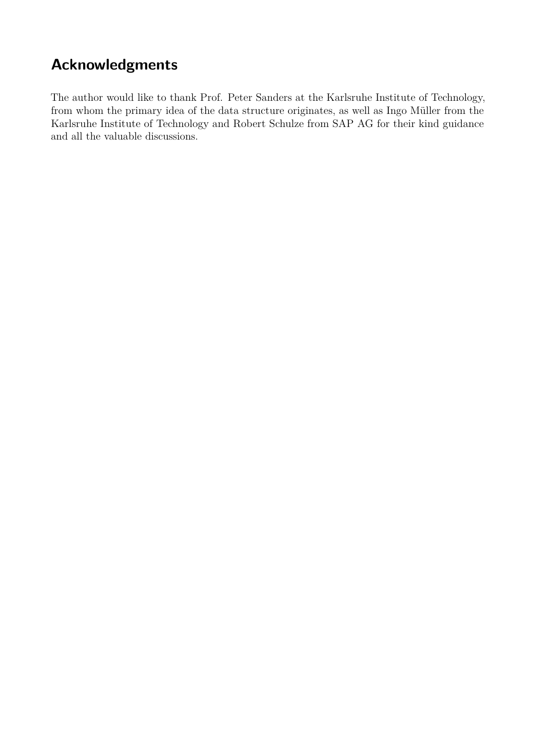## **Acknowledgments**

The author would like to thank Prof. Peter Sanders at the Karlsruhe Institute of Technology, from whom the primary idea of the data structure originates, as well as Ingo Müller from the Karlsruhe Institute of Technology and Robert Schulze from SAP AG for their kind guidance and all the valuable discussions.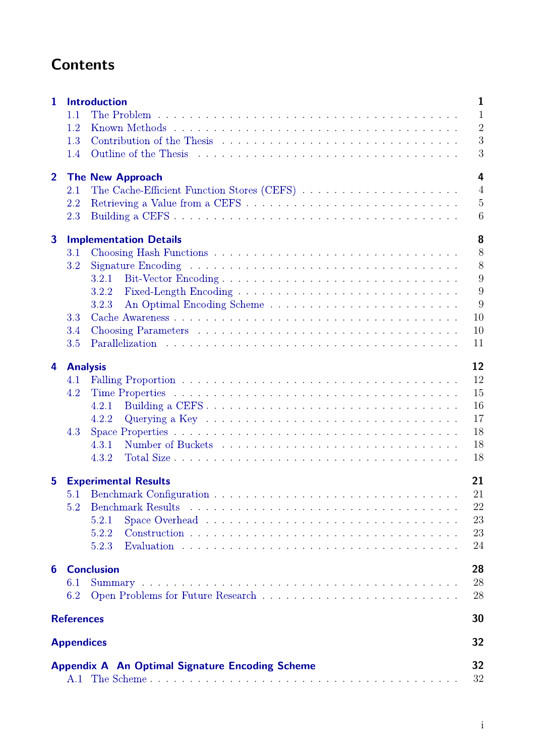## **Contents**

| $\mathbf{1}$            |                   | $\mathbf{1}$<br><b>Introduction</b>                                                                           |  |  |  |  |  |  |  |  |  |  |  |  |  |
|-------------------------|-------------------|---------------------------------------------------------------------------------------------------------------|--|--|--|--|--|--|--|--|--|--|--|--|--|
|                         | 1.1               | $\mathbf{1}$                                                                                                  |  |  |  |  |  |  |  |  |  |  |  |  |  |
|                         | 1.2               | $\overline{2}$                                                                                                |  |  |  |  |  |  |  |  |  |  |  |  |  |
|                         | 1.3               | 3                                                                                                             |  |  |  |  |  |  |  |  |  |  |  |  |  |
|                         | 1.4               | 3                                                                                                             |  |  |  |  |  |  |  |  |  |  |  |  |  |
| $\overline{2}$          |                   | $\overline{4}$<br><b>The New Approach</b>                                                                     |  |  |  |  |  |  |  |  |  |  |  |  |  |
|                         | 2.1               | The Cache-Efficient Function Stores (CEFS)<br>$\overline{4}$                                                  |  |  |  |  |  |  |  |  |  |  |  |  |  |
|                         | 2.2               | $\overline{5}$                                                                                                |  |  |  |  |  |  |  |  |  |  |  |  |  |
|                         | 2.3               | 6                                                                                                             |  |  |  |  |  |  |  |  |  |  |  |  |  |
| $\overline{\mathbf{3}}$ |                   | 8<br><b>Implementation Details</b>                                                                            |  |  |  |  |  |  |  |  |  |  |  |  |  |
|                         | 3.1               | 8                                                                                                             |  |  |  |  |  |  |  |  |  |  |  |  |  |
|                         | 3.2               | 8                                                                                                             |  |  |  |  |  |  |  |  |  |  |  |  |  |
|                         |                   | 9<br>3.2.1                                                                                                    |  |  |  |  |  |  |  |  |  |  |  |  |  |
|                         |                   | 9<br>3.2.2                                                                                                    |  |  |  |  |  |  |  |  |  |  |  |  |  |
|                         |                   | 9<br>3.2.3                                                                                                    |  |  |  |  |  |  |  |  |  |  |  |  |  |
|                         | 3.3               | 10                                                                                                            |  |  |  |  |  |  |  |  |  |  |  |  |  |
|                         | 3.4               | 10                                                                                                            |  |  |  |  |  |  |  |  |  |  |  |  |  |
|                         | 3.5               | 11                                                                                                            |  |  |  |  |  |  |  |  |  |  |  |  |  |
| 4                       | <b>Analysis</b>   | 12                                                                                                            |  |  |  |  |  |  |  |  |  |  |  |  |  |
|                         | 4.1               | 12                                                                                                            |  |  |  |  |  |  |  |  |  |  |  |  |  |
|                         | 4.2               | 15                                                                                                            |  |  |  |  |  |  |  |  |  |  |  |  |  |
|                         |                   | 16<br>4.2.1                                                                                                   |  |  |  |  |  |  |  |  |  |  |  |  |  |
|                         |                   | 17<br>4.2.2<br>Querying a Key $\dots \dots \dots \dots \dots \dots \dots \dots \dots \dots \dots \dots \dots$ |  |  |  |  |  |  |  |  |  |  |  |  |  |
|                         | 4.3               | 18                                                                                                            |  |  |  |  |  |  |  |  |  |  |  |  |  |
|                         |                   | 18<br>4.3.1                                                                                                   |  |  |  |  |  |  |  |  |  |  |  |  |  |
|                         |                   | 18<br>4.3.2                                                                                                   |  |  |  |  |  |  |  |  |  |  |  |  |  |
| $5\phantom{.0}$         |                   | 21<br><b>Experimental Results</b>                                                                             |  |  |  |  |  |  |  |  |  |  |  |  |  |
|                         |                   | 5.1 Benchmark Configuration<br>21                                                                             |  |  |  |  |  |  |  |  |  |  |  |  |  |
|                         | 5.2               | 22                                                                                                            |  |  |  |  |  |  |  |  |  |  |  |  |  |
|                         |                   | 23<br>5.2.1                                                                                                   |  |  |  |  |  |  |  |  |  |  |  |  |  |
|                         |                   | 23<br>5.2.2                                                                                                   |  |  |  |  |  |  |  |  |  |  |  |  |  |
|                         |                   | 5.2.3<br>24                                                                                                   |  |  |  |  |  |  |  |  |  |  |  |  |  |
| 6                       |                   | <b>Conclusion</b><br>28                                                                                       |  |  |  |  |  |  |  |  |  |  |  |  |  |
|                         | 6.1               | 28                                                                                                            |  |  |  |  |  |  |  |  |  |  |  |  |  |
|                         | 6.2               | 28                                                                                                            |  |  |  |  |  |  |  |  |  |  |  |  |  |
|                         | <b>References</b> | 30                                                                                                            |  |  |  |  |  |  |  |  |  |  |  |  |  |
|                         | <b>Appendices</b> | 32                                                                                                            |  |  |  |  |  |  |  |  |  |  |  |  |  |
|                         |                   |                                                                                                               |  |  |  |  |  |  |  |  |  |  |  |  |  |
|                         | A.1               | 32<br><b>Appendix A An Optimal Signature Encoding Scheme</b><br>32                                            |  |  |  |  |  |  |  |  |  |  |  |  |  |
|                         |                   |                                                                                                               |  |  |  |  |  |  |  |  |  |  |  |  |  |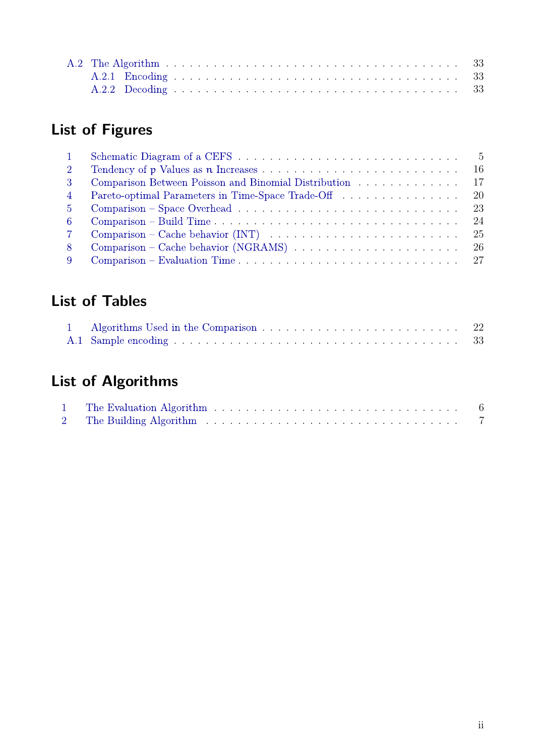# **List of Figures**

| $\overline{2}$ |                                                                                                       |
|----------------|-------------------------------------------------------------------------------------------------------|
| -3             | -17<br>Comparison Between Poisson and Binomial Distribution                                           |
| $\overline{4}$ | - 20<br>Pareto-optimal Parameters in Time-Space Trade-Off                                             |
| $5^{\circ}$    |                                                                                                       |
| -6             |                                                                                                       |
|                | Comparison – Cache behavior (INT) $\ldots \ldots \ldots \ldots \ldots \ldots \ldots \ldots \ldots 25$ |
| -8             | Comparison – Cache behavior (NGRAMS) $\ldots \ldots \ldots \ldots \ldots \ldots \ldots \ldots 26$     |
|                |                                                                                                       |

## **List of Tables**

|  | - 22 |
|--|------|
|  |      |

# **List of Algorithms**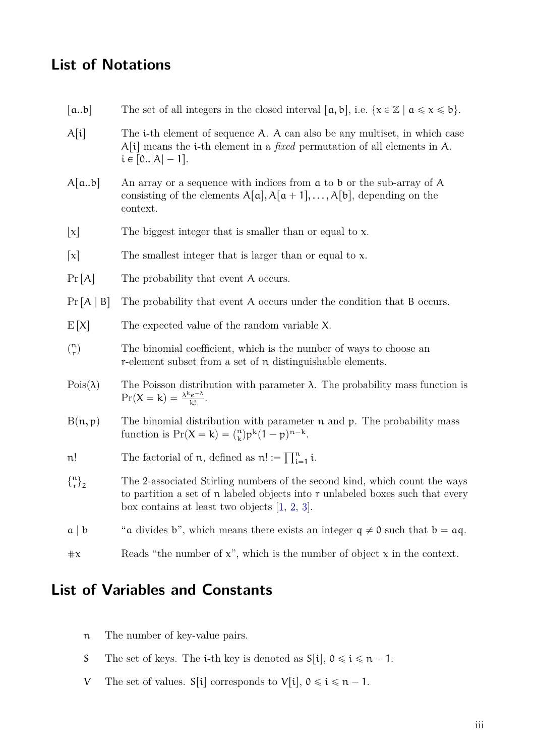## <span id="page-6-0"></span>**List of Notations**

- [a.b] The set of all integers in the closed interval [a, b], i.e.  $\{x \in \mathbb{Z} \mid a \le x \le b\}$ .
- $A[i]$  The i-th element of sequence A. A can also be any multiset, in which case  $A[i]$  means the *i*-th element in a *fixed* permutation of all elements in A.  $i \in [0..|A| - 1].$
- $A[a,b]$  An array or a sequence with indices from a to b or the sub-array of A consisting of the elements  $A[a], A[a + 1], \ldots, A[b]$ , depending on the context.
- $|x|$  The biggest integer that is smaller than or equal to x.
- $\lceil x \rceil$  The smallest integer that is larger than or equal to x.
- $Pr[A]$  The probability that event A occurs.
- $Pr[A \mid B]$  The probability that event A occurs under the condition that B occurs.
- $E[X]$  The expected value of the random variable X.
- $\binom{n}{r}$ r The binomial coefficient, which is the number of ways to choose an r-element subset from a set of n distinguishable elements.
- Pois $(\lambda)$  The Poisson distribution with parameter  $\lambda$ . The probability mass function is  $Pr(X = k) = \frac{\lambda^k e^{-\lambda}}{k!}$  $\frac{e^{-\lambda}}{k!}$ .
- $B(n, p)$  The binomial distribution with parameter n and p. The probability mass function is  $Pr(X = k) = {n \choose k}$  $_{k}^{n}$ ) $p^{k}(1-p)^{n-k}$ .
- n! The factorial of  $n$ , defined as  $n! :=$  $\overline{\Pi}^n$  $\prod_{i=1}^n i$ .
- $\begin{cases} n \\ r \end{cases}$ n <sub>1</sub><br>r <sup>1</sup>2 The 2-associated Stirling numbers of the second kind, which count the ways to partition a set of  $\bf{n}$  labeled objects into  $\bf{r}$  unlabeled boxes such that every box contains at least two objects [\[1,](#page-37-0) [2,](#page-37-1) [3\]](#page-37-2).
- $a \mid b$  "a divides b", which means there exists an integer  $q \neq 0$  such that  $b = aq$ .
- $\#x$  Reads "the number of x", which is the number of object x in the context.

## **List of Variables and Constants**

- n The number of key-value pairs.
- S The set of keys. The *i*-th key is denoted as  $S[i], 0 \le i \le n 1$ .
- V The set of values.  $S[i]$  corresponds to  $V[i], 0 \le i \le n 1$ .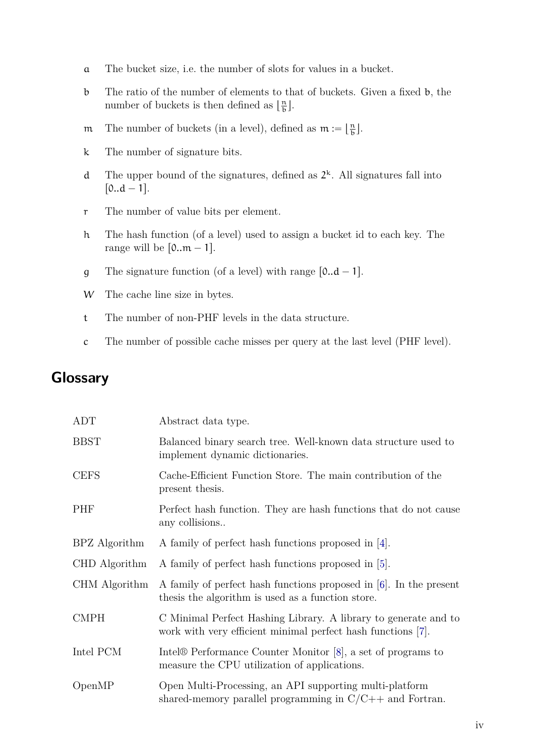- <span id="page-7-0"></span>a The bucket size, i.e. the number of slots for values in a bucket.
- b The ratio of the number of elements to that of buckets. Given a fixed b, the number of buckets is then defined as  $\lfloor \frac{n}{b} \rfloor$  $\frac{n}{b}$ .
- m The number of buckets (in a level), defined as  $m := \lfloor \frac{n}{b} \rfloor$  $\frac{n}{b}$ .
- k The number of signature bits.
- d The upper bound of the signatures, defined as  $2^k$ . All signatures fall into  $[0..d - 1].$
- r The number of value bits per element.
- h The hash function (of a level) used to assign a bucket id to each key. The range will be  $[0..m - 1]$ .
- g The signature function (of a level) with range  $[0..d 1]$ .
- W The cache line size in bytes.
- t The number of non-PHF levels in the data structure.
- c The number of possible cache misses per query at the last level (PHF level).

## **Glossary**

| ADT           | Abstract data type.                                                                                                             |
|---------------|---------------------------------------------------------------------------------------------------------------------------------|
| <b>BBST</b>   | Balanced binary search tree. Well-known data structure used to<br>implement dynamic dictionaries.                               |
| <b>CEFS</b>   | Cache-Efficient Function Store. The main contribution of the<br>present thesis.                                                 |
| PHF           | Perfect hash function. They are hash functions that do not cause<br>any collisions                                              |
| BPZ Algorithm | A family of perfect hash functions proposed in [4].                                                                             |
| CHD Algorithm | A family of perfect hash functions proposed in [5].                                                                             |
| CHM Algorithm | A family of perfect hash functions proposed in [6]. In the present<br>thesis the algorithm is used as a function store.         |
| <b>CMPH</b>   | C Minimal Perfect Hashing Library. A library to generate and to<br>work with very efficient minimal perfect hash functions [7]. |
| Intel PCM     | Intel $\circledR$ Performance Counter Monitor [8], a set of programs to<br>measure the CPU utilization of applications.         |
| OpenMP        | Open Multi-Processing, an API supporting multi-platform<br>shared-memory parallel programming in $C/C++$ and Fortran.           |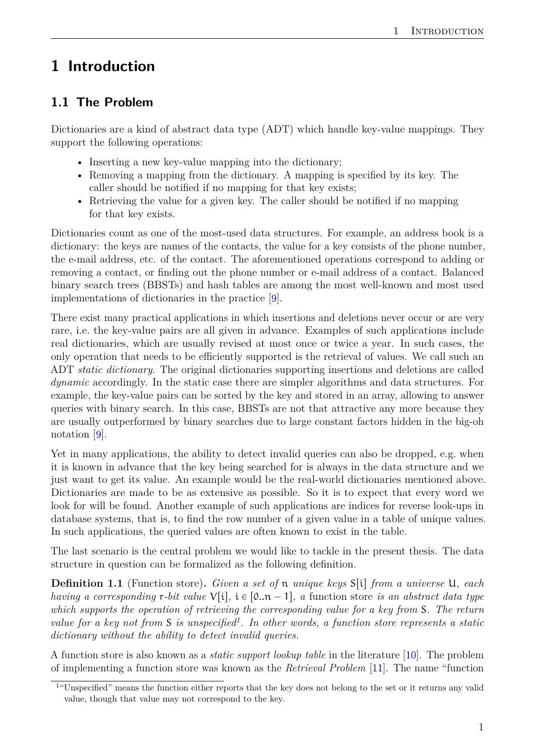## <span id="page-8-3"></span><span id="page-8-0"></span>**1 Introduction**

## <span id="page-8-1"></span>**1.1 The Problem**

Dictionaries are a kind of abstract data type (ADT) which handle key-value mappings. They support the following operations:

- Inserting a new key-value mapping into the dictionary;
- Removing a mapping from the dictionary. A mapping is specified by its key. The caller should be notified if no mapping for that key exists;
- Retrieving the value for a given key. The caller should be notified if no mapping for that key exists.

Dictionaries count as one of the most-used data structures. For example, an address book is a dictionary: the keys are names of the contacts, the value for a key consists of the phone number, the e-mail address, etc. of the contact. The aforementioned operations correspond to adding or removing a contact, or finding out the phone number or e-mail address of a contact. Balanced binary search trees (BBSTs) and hash tables are among the most well-known and most used implementations of dictionaries in the practice [\[9\]](#page-37-8).

There exist many practical applications in which insertions and deletions never occur or are very rare, i.e. the key-value pairs are all given in advance. Examples of such applications include real dictionaries, which are usually revised at most once or twice a year. In such cases, the only operation that needs to be efficiently supported is the retrieval of values. We call such an ADT *static dictionary*. The original dictionaries supporting insertions and deletions are called *dynamic* accordingly. In the static case there are simpler algorithms and data structures. For example, the key-value pairs can be sorted by the key and stored in an array, allowing to answer queries with binary search. In this case, BBSTs are not that attractive any more because they are usually outperformed by binary searches due to large constant factors hidden in the big-oh notation [\[9\]](#page-37-8).

Yet in many applications, the ability to detect invalid queries can also be dropped, e.g. when it is known in advance that the key being searched for is always in the data structure and we just want to get its value. An example would be the real-world dictionaries mentioned above. Dictionaries are made to be as extensive as possible. So it is to expect that every word we look for will be found. Another example of such applications are indices for reverse look-ups in database systems, that is, to find the row number of a given value in a table of unique values. In such applications, the queried values are often known to exist in the table.

The last scenario is the central problem we would like to tackle in the present thesis. The data structure in question can be formalized as the following definition.

**Definition 1.1** (Function store). *Given a set of* **n** *unique keys*  $S[i]$  *from a universe* U, *each having a corresponding* r-bit value  $V[i], i \in [0..n - 1]$ , a function store *is an abstract data type which supports the operation of retrieving the corresponding value for a key from* S*. The return value for a key not from* S *is unspecified[1](#page-8-2) . In other words, a function store represents a static dictionary without the ability to detect invalid queries.*

A function store is also known as a *static support lookup table* in the literature [\[10\]](#page-37-9). The problem of implementing a function store was known as the *Retrieval Problem* [\[11\]](#page-37-10). The name "function

<span id="page-8-2"></span><sup>&</sup>lt;sup>1"</sup>Unspecified" means the function either reports that the key does not belong to the set or it returns any valid value, though that value may not correspond to the key.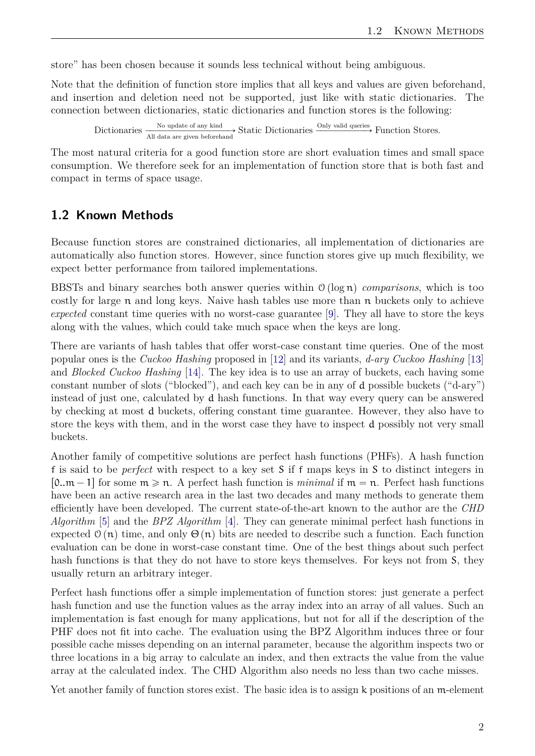<span id="page-9-1"></span>store" has been chosen because it sounds less technical without being ambiguous.

Note that the definition of function store implies that all keys and values are given beforehand, and insertion and deletion need not be supported, just like with static dictionaries. The connection between dictionaries, static dictionaries and function stores is the following:

Dictionaries  $\frac{\text{No update of any kind}}{\text{All data are given beforehand}}$  Static Dictionaries  $\frac{\text{Only valid queries}}{\text{Python} \times \text{Function}}$  Function Stores.

The most natural criteria for a good function store are short evaluation times and small space consumption. We therefore seek for an implementation of function store that is both fast and compact in terms of space usage.

#### <span id="page-9-0"></span>**1.2 Known Methods**

Because function stores are constrained dictionaries, all implementation of dictionaries are automatically also function stores. However, since function stores give up much flexibility, we expect better performance from tailored implementations.

BBSTs and binary searches both answer queries within  $\mathcal{O}(\log n)$  *comparisons*, which is too costly for large  $\pi$  and long keys. Naive hash tables use more than  $\pi$  buckets only to achieve *expected* constant time queries with no worst-case guarantee [\[9\]](#page-37-8). They all have to store the keys along with the values, which could take much space when the keys are long.

There are variants of hash tables that offer worst-case constant time queries. One of the most popular ones is the *Cuckoo Hashing* proposed in [\[12\]](#page-37-11) and its variants, *d-ary Cuckoo Hashing* [\[13\]](#page-37-12) and *Blocked Cuckoo Hashing* [\[14\]](#page-37-13). The key idea is to use an array of buckets, each having some constant number of slots ("blocked"), and each key can be in any of d possible buckets ("d-ary") instead of just one, calculated by d hash functions. In that way every query can be answered by checking at most d buckets, offering constant time guarantee. However, they also have to store the keys with them, and in the worst case they have to inspect d possibly not very small buckets.

Another family of competitive solutions are perfect hash functions (PHFs). A hash function f is said to be *perfect* with respect to a key set S if f maps keys in S to distinct integers in  $[0..m - 1]$  for some  $m \ge n$ . A perfect hash function is *minimal* if  $m = n$ . Perfect hash functions have been an active research area in the last two decades and many methods to generate them efficiently have been developed. The current state-of-the-art known to the author are the *CHD Algorithm* [\[5\]](#page-37-4) and the *BPZ Algorithm* [\[4\]](#page-37-3). They can generate minimal perfect hash functions in expected  $\mathcal{O}(n)$  time, and only  $\Theta(n)$  bits are needed to describe such a function. Each function evaluation can be done in worst-case constant time. One of the best things about such perfect hash functions is that they do not have to store keys themselves. For keys not from S, they usually return an arbitrary integer.

Perfect hash functions offer a simple implementation of function stores: just generate a perfect hash function and use the function values as the array index into an array of all values. Such an implementation is fast enough for many applications, but not for all if the description of the PHF does not fit into cache. The evaluation using the BPZ Algorithm induces three or four possible cache misses depending on an internal parameter, because the algorithm inspects two or three locations in a big array to calculate an index, and then extracts the value from the value array at the calculated index. The CHD Algorithm also needs no less than two cache misses.

Yet another family of function stores exist. The basic idea is to assign k positions of an m-element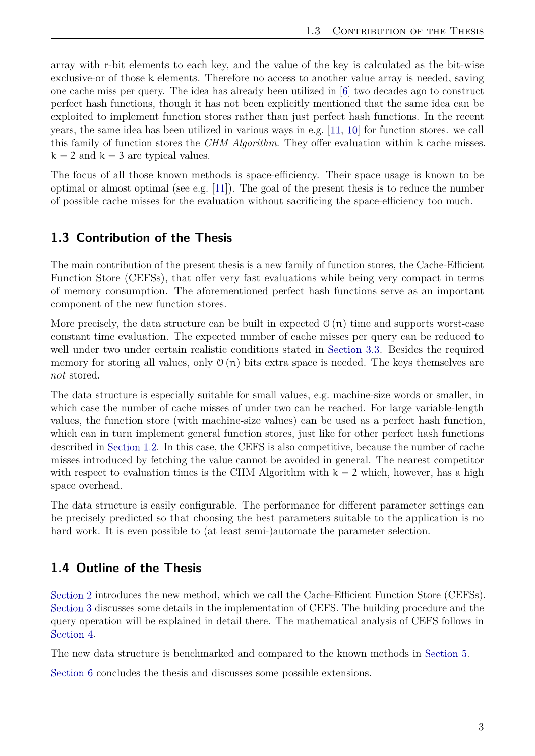<span id="page-10-2"></span>array with r-bit elements to each key, and the value of the key is calculated as the bit-wise exclusive-or of those k elements. Therefore no access to another value array is needed, saving one cache miss per query. The idea has already been utilized in [\[6\]](#page-37-5) two decades ago to construct perfect hash functions, though it has not been explicitly mentioned that the same idea can be exploited to implement function stores rather than just perfect hash functions. In the recent years, the same idea has been utilized in various ways in e.g. [\[11,](#page-37-10) [10\]](#page-37-9) for function stores. we call this family of function stores the *CHM Algorithm*. They offer evaluation within k cache misses.  $k = 2$  and  $k = 3$  are typical values.

The focus of all those known methods is space-efficiency. Their space usage is known to be optimal or almost optimal (see e.g. [\[11\]](#page-37-10)). The goal of the present thesis is to reduce the number of possible cache misses for the evaluation without sacrificing the space-efficiency too much.

### <span id="page-10-0"></span>**1.3 Contribution of the Thesis**

The main contribution of the present thesis is a new family of function stores, the Cache-Efficient Function Store (CEFSs), that offer very fast evaluations while being very compact in terms of memory consumption. The aforementioned perfect hash functions serve as an important component of the new function stores.

More precisely, the data structure can be built in expected  $\mathcal{O}(n)$  time and supports worst-case constant time evaluation. The expected number of cache misses per query can be reduced to well under two under certain realistic conditions stated in [Section 3.3.](#page-17-0) Besides the required memory for storing all values, only  $\mathcal{O}(n)$  bits extra space is needed. The keys themselves are *not* stored.

The data structure is especially suitable for small values, e.g. machine-size words or smaller, in which case the number of cache misses of under two can be reached. For large variable-length values, the function store (with machine-size values) can be used as a perfect hash function, which can in turn implement general function stores, just like for other perfect hash functions described in [Section 1.2.](#page-9-0) In this case, the CEFS is also competitive, because the number of cache misses introduced by fetching the value cannot be avoided in general. The nearest competitor with respect to evaluation times is the CHM Algorithm with  $k = 2$  which, however, has a high space overhead.

The data structure is easily configurable. The performance for different parameter settings can be precisely predicted so that choosing the best parameters suitable to the application is no hard work. It is even possible to (at least semi-)automate the parameter selection.

### <span id="page-10-1"></span>**1.4 Outline of the Thesis**

[Section 2](#page-11-0) introduces the new method, which we call the Cache-Efficient Function Store (CEFSs). [Section 3](#page-15-0) discusses some details in the implementation of CEFS. The building procedure and the query operation will be explained in detail there. The mathematical analysis of CEFS follows in [Section 4.](#page-19-0)

The new data structure is benchmarked and compared to the known methods in [Section 5.](#page-28-0)

[Section 6](#page-35-0) concludes the thesis and discusses some possible extensions.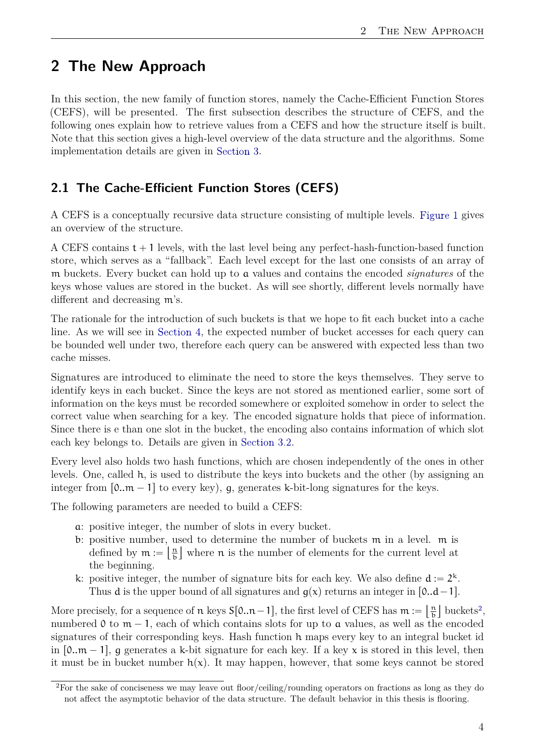## <span id="page-11-0"></span>**2 The New Approach**

In this section, the new family of function stores, namely the Cache-Efficient Function Stores (CEFS), will be presented. The first subsection describes the structure of CEFS, and the following ones explain how to retrieve values from a CEFS and how the structure itself is built. Note that this section gives a high-level overview of the data structure and the algorithms. Some implementation details are given in [Section 3.](#page-15-0)

### <span id="page-11-1"></span>**2.1 The Cache-Efficient Function Stores (CEFS)**

A CEFS is a conceptually recursive data structure consisting of multiple levels. [Figure 1](#page-12-1) gives an overview of the structure.

A CEFS contains  $t + 1$  levels, with the last level being any perfect-hash-function-based function store, which serves as a "fallback". Each level except for the last one consists of an array of m buckets. Every bucket can hold up to a values and contains the encoded *signatures* of the keys whose values are stored in the bucket. As will see shortly, different levels normally have different and decreasing m's.

The rationale for the introduction of such buckets is that we hope to fit each bucket into a cache line. As we will see in [Section 4,](#page-19-0) the expected number of bucket accesses for each query can be bounded well under two, therefore each query can be answered with expected less than two cache misses.

Signatures are introduced to eliminate the need to store the keys themselves. They serve to identify keys in each bucket. Since the keys are not stored as mentioned earlier, some sort of information on the keys must be recorded somewhere or exploited somehow in order to select the correct value when searching for a key. The encoded signature holds that piece of information. Since there is e than one slot in the bucket, the encoding also contains information of which slot each key belongs to. Details are given in [Section 3.2.](#page-15-2)

Every level also holds two hash functions, which are chosen independently of the ones in other levels. One, called h, is used to distribute the keys into buckets and the other (by assigning an integer from  $[0..m - 1]$  to every key), g, generates k-bit-long signatures for the keys.

The following parameters are needed to build a CEFS:

- a: positive integer, the number of slots in every bucket.
- b: positive number, used to determine the number of buckets  $m$  in a level.  $m$  is defined by  $m := \frac{m}{b}$  $\frac{n}{b}$  where n is the number of elements for the current level at the beginning.
- k: positive integer, the number of signature bits for each key. We also define  $d := 2^k$ . Thus **d** is the upper bound of all signatures and  $g(x)$  returns an integer in  $[0..d-1]$ .  $\left\langle \begin{array}{c} \cdots \end{array} \right\rangle$

More precisely, for a sequence of  $\pi$  keys  $S[0..n-1]$ , the first level of CEFS has  $m := \frac{n}{b}$  $\frac{\mathfrak{n}}{\mathfrak{b}}$  buckets<sup>[2](#page-11-2)</sup>, numbered 0 to  $m - 1$ , each of which contains slots for up to a values, as well as the encoded signatures of their corresponding keys. Hash function h maps every key to an integral bucket id in  $[0..m - 1]$ , g generates a k-bit signature for each key. If a key x is stored in this level, then it must be in bucket number  $h(x)$ . It may happen, however, that some keys cannot be stored

<span id="page-11-2"></span><sup>2</sup>For the sake of conciseness we may leave out floor/ceiling/rounding operators on fractions as long as they do not affect the asymptotic behavior of the data structure. The default behavior in this thesis is flooring.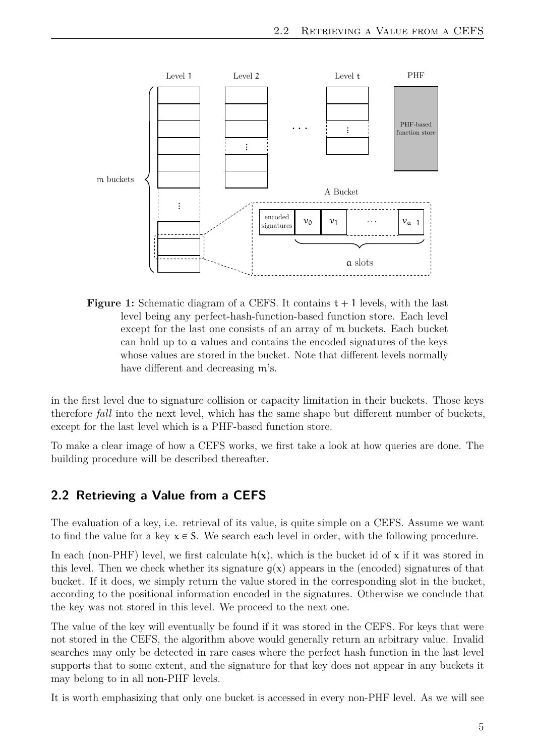<span id="page-12-1"></span>

**Figure 1:** Schematic diagram of a CEFS. It contains  $t + 1$  levels, with the last level being any perfect-hash-function-based function store. Each level except for the last one consists of an array of m buckets. Each bucket can hold up to a values and contains the encoded signatures of the keys whose values are stored in the bucket. Note that different levels normally have different and decreasing m's.

in the first level due to signature collision or capacity limitation in their buckets. Those keys therefore *fall* into the next level, which has the same shape but different number of buckets, except for the last level which is a PHF-based function store.

To make a clear image of how a CEFS works, we first take a look at how queries are done. The building procedure will be described thereafter.

#### <span id="page-12-0"></span>**2.2 Retrieving a Value from a CEFS**

The evaluation of a key, i.e. retrieval of its value, is quite simple on a CEFS. Assume we want to find the value for a key  $x \in S$ . We search each level in order, with the following procedure.

In each (non-PHF) level, we first calculate  $h(x)$ , which is the bucket id of x if it was stored in this level. Then we check whether its signature  $q(x)$  appears in the (encoded) signatures of that bucket. If it does, we simply return the value stored in the corresponding slot in the bucket, according to the positional information encoded in the signatures. Otherwise we conclude that the key was not stored in this level. We proceed to the next one.

The value of the key will eventually be found if it was stored in the CEFS. For keys that were not stored in the CEFS, the algorithm above would generally return an arbitrary value. Invalid searches may only be detected in rare cases where the perfect hash function in the last level supports that to some extent, and the signature for that key does not appear in any buckets it may belong to in all non-PHF levels.

It is worth emphasizing that only one bucket is accessed in every non-PHF level. As we will see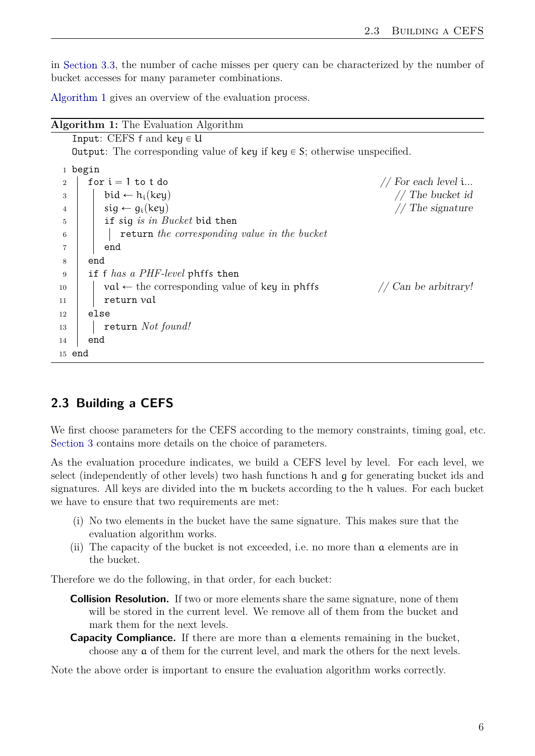in [Section 3.3,](#page-17-0) the number of cache misses per query can be characterized by the number of bucket accesses for many parameter combinations.

[Algorithm 1](#page-13-1) gives an overview of the evaluation process.

| <b>Algorithm 1:</b> The Evaluation Algorithm                                           |  |  |  |  |  |  |
|----------------------------------------------------------------------------------------|--|--|--|--|--|--|
| Input: CEFS $f$ and key $\in U$                                                        |  |  |  |  |  |  |
| <b>Output:</b> The corresponding value of key if key $\in$ S; otherwise unspecified.   |  |  |  |  |  |  |
| 1 begin                                                                                |  |  |  |  |  |  |
| for $i = 1$ to t do<br>// For each level $i$<br>$\overline{2}$                         |  |  |  |  |  |  |
| // The bucket id<br>$bid \leftarrow h_i(key)$<br>3                                     |  |  |  |  |  |  |
| $sig \leftarrow g_i(key)$<br>$//$ The signature<br>4                                   |  |  |  |  |  |  |
| if sig is in Bucket bid then<br>5                                                      |  |  |  |  |  |  |
| return the corresponding value in the bucket<br>6                                      |  |  |  |  |  |  |
| end<br>7                                                                               |  |  |  |  |  |  |
| end<br>8                                                                               |  |  |  |  |  |  |
| if f has a PHF-level phffs then<br>9                                                   |  |  |  |  |  |  |
| $val \leftarrow$ the corresponding value of key in phffs<br>// Can be arbitrary!<br>10 |  |  |  |  |  |  |
| return val<br>11                                                                       |  |  |  |  |  |  |
| else<br>12                                                                             |  |  |  |  |  |  |
| return Not found!<br>13                                                                |  |  |  |  |  |  |
| end<br>14                                                                              |  |  |  |  |  |  |
| $15$ end                                                                               |  |  |  |  |  |  |
|                                                                                        |  |  |  |  |  |  |

#### <span id="page-13-1"></span><span id="page-13-0"></span>**2.3 Building a CEFS**

We first choose parameters for the CEFS according to the memory constraints, timing goal, etc. [Section 3](#page-15-0) contains more details on the choice of parameters.

As the evaluation procedure indicates, we build a CEFS level by level. For each level, we select (independently of other levels) two hash functions h and g for generating bucket ids and signatures. All keys are divided into the m buckets according to the h values. For each bucket we have to ensure that two requirements are met:

- (i) No two elements in the bucket have the same signature. This makes sure that the evaluation algorithm works.
- (ii) The capacity of the bucket is not exceeded, i.e. no more than a elements are in the bucket.

Therefore we do the following, in that order, for each bucket:

- **Collision Resolution.** If two or more elements share the same signature, none of them will be stored in the current level. We remove all of them from the bucket and mark them for the next levels.
- **Capacity Compliance.** If there are more than a elements remaining in the bucket, choose any a of them for the current level, and mark the others for the next levels.

Note the above order is important to ensure the evaluation algorithm works correctly.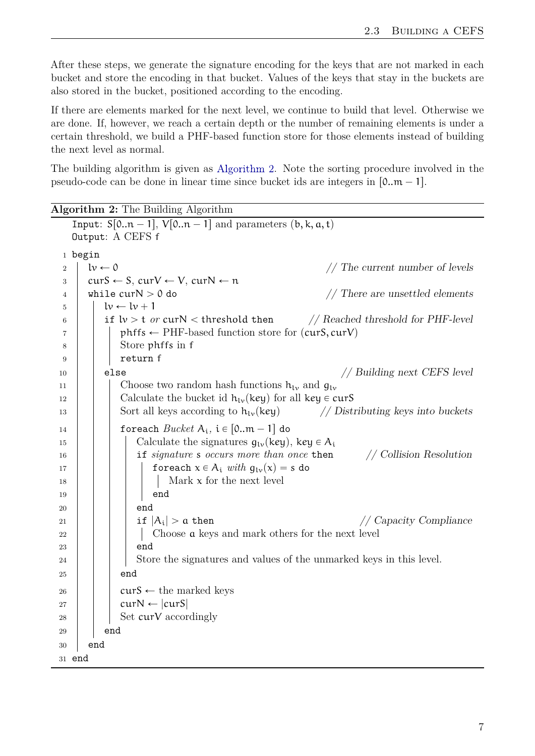After these steps, we generate the signature encoding for the keys that are not marked in each bucket and store the encoding in that bucket. Values of the keys that stay in the buckets are also stored in the bucket, positioned according to the encoding.

If there are elements marked for the next level, we continue to build that level. Otherwise we are done. If, however, we reach a certain depth or the number of remaining elements is under a certain threshold, we build a PHF-based function store for those elements instead of building the next level as normal.

The building algorithm is given as [Algorithm 2.](#page-14-0) Note the sorting procedure involved in the pseudo-code can be done in linear time since bucket ids are integers in  $[0..m - 1]$ .

**Algorithm 2:** The Building Algorithm

<span id="page-14-0"></span>

|                |                     | Input: $S[0n - 1]$ , $V[0n - 1]$ and parameters $(b, k, a, t)$                           |
|----------------|---------------------|------------------------------------------------------------------------------------------|
|                |                     | Output: A CEFS f                                                                         |
|                | 1 begin             |                                                                                          |
| $\overline{2}$ | $l\nu \leftarrow 0$ | // The current number of levels                                                          |
| 3              |                     | $curS \leftarrow S$ , $curV \leftarrow V$ , $curN \leftarrow n$                          |
| 4              |                     | while $curN > 0$ do<br>$//$ There are unsettled elements                                 |
| 5              |                     | $l\nu \leftarrow l\nu + 1$                                                               |
| 6              |                     | if $\text{lv} > \text{t}$ or curN < threshold then<br>// Reached threshold for PHF-level |
| 7              |                     | $\text{phffs} \leftarrow \text{PHF-based function store for (curS, curV)}$               |
| 8              |                     | Store phffs in f                                                                         |
| 9              |                     | return f                                                                                 |
| 10             |                     | // Building next CEFS level<br>else                                                      |
| 11             |                     | Choose two random hash functions $h_{\nu}$ and $g_{\nu}$                                 |
| 12             |                     | Calculate the bucket id $h_{1v}$ (key) for all key $\in \text{curS}$                     |
| 13             |                     | Sort all keys according to $h_{\nu}$ (key)<br>// Distributing keys into buckets          |
| 14             |                     | foreach $Bucket A_i$ , i $\in$ [0 $m-1$ ] do                                             |
| 15             |                     | Calculate the signatures $g_{1v}(\text{key})$ , key $\in A_i$                            |
| 16             |                     | if signature s occurs more than once then<br>// Collision Resolution                     |
| 17             |                     | for each $x \in A_i$ with $g_{1\nu}(x) = s$ do                                           |
| 18             |                     | Mark $x$ for the next level                                                              |
| 19             |                     | end                                                                                      |
| 20             |                     | end                                                                                      |
| 21             |                     | if $ A_i  > a$ then<br>// Capacity Compliance                                            |
| 22             |                     | Choose a keys and mark others for the next level                                         |
| 23             |                     | end                                                                                      |
| 24             |                     | Store the signatures and values of the unmarked keys in this level.                      |
| 25             |                     | end                                                                                      |
| 26             |                     | $curS \leftarrow$ the marked keys                                                        |
| 27             |                     | $curN \leftarrow  curS $                                                                 |
| 28             |                     | Set curV accordingly                                                                     |
| 29             |                     | end                                                                                      |
| 30             | end                 |                                                                                          |
| 31 end         |                     |                                                                                          |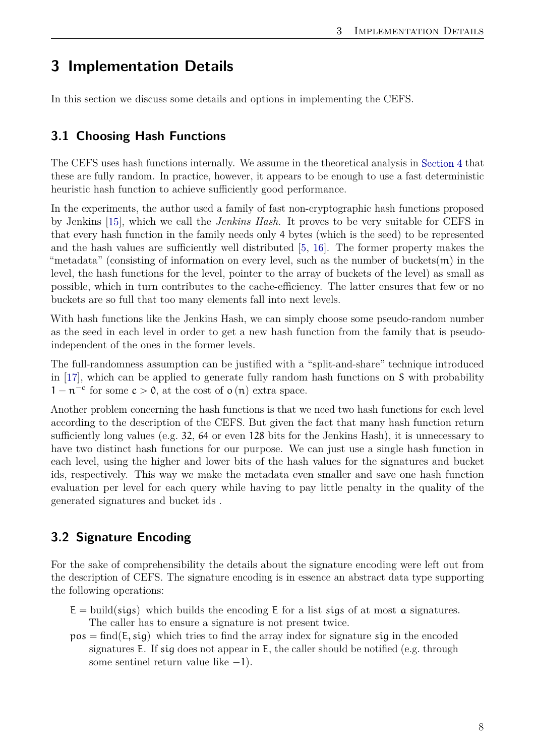## <span id="page-15-3"></span><span id="page-15-0"></span>**3 Implementation Details**

In this section we discuss some details and options in implementing the CEFS.

#### <span id="page-15-1"></span>**3.1 Choosing Hash Functions**

The CEFS uses hash functions internally. We assume in the theoretical analysis in [Section 4](#page-19-0) that these are fully random. In practice, however, it appears to be enough to use a fast deterministic heuristic hash function to achieve sufficiently good performance.

In the experiments, the author used a family of fast non-cryptographic hash functions proposed by Jenkins [\[15\]](#page-37-14), which we call the *Jenkins Hash*. It proves to be very suitable for CEFS in that every hash function in the family needs only 4 bytes (which is the seed) to be represented and the hash values are sufficiently well distributed [\[5,](#page-37-4) [16\]](#page-37-15). The former property makes the "metadata" (consisting of information on every level, such as the number of buckets $(m)$  in the level, the hash functions for the level, pointer to the array of buckets of the level) as small as possible, which in turn contributes to the cache-efficiency. The latter ensures that few or no buckets are so full that too many elements fall into next levels.

With hash functions like the Jenkins Hash, we can simply choose some pseudo-random number as the seed in each level in order to get a new hash function from the family that is pseudoindependent of the ones in the former levels.

The full-randomness assumption can be justified with a "split-and-share" technique introduced in [\[17\]](#page-37-16), which can be applied to generate fully random hash functions on S with probability  $1 - n^{-c}$  for some  $c > 0$ , at the cost of  $o(n)$  extra space.

Another problem concerning the hash functions is that we need two hash functions for each level according to the description of the CEFS. But given the fact that many hash function return sufficiently long values (e.g. 32, 64 or even 128 bits for the Jenkins Hash), it is unnecessary to have two distinct hash functions for our purpose. We can just use a single hash function in each level, using the higher and lower bits of the hash values for the signatures and bucket ids, respectively. This way we make the metadata even smaller and save one hash function evaluation per level for each query while having to pay little penalty in the quality of the generated signatures and bucket ids .

#### <span id="page-15-2"></span>**3.2 Signature Encoding**

For the sake of comprehensibility the details about the signature encoding were left out from the description of CEFS. The signature encoding is in essence an abstract data type supporting the following operations:

- $E = \text{build}(sigs)$  which builds the encoding E for a list sigs of at most a signatures. The caller has to ensure a signature is not present twice.
- $pos = find(E, sig)$  which tries to find the array index for signature sig in the encoded signatures E. If sig does not appear in E, the caller should be notified (e.g. through some sentinel return value like  $-1$ ).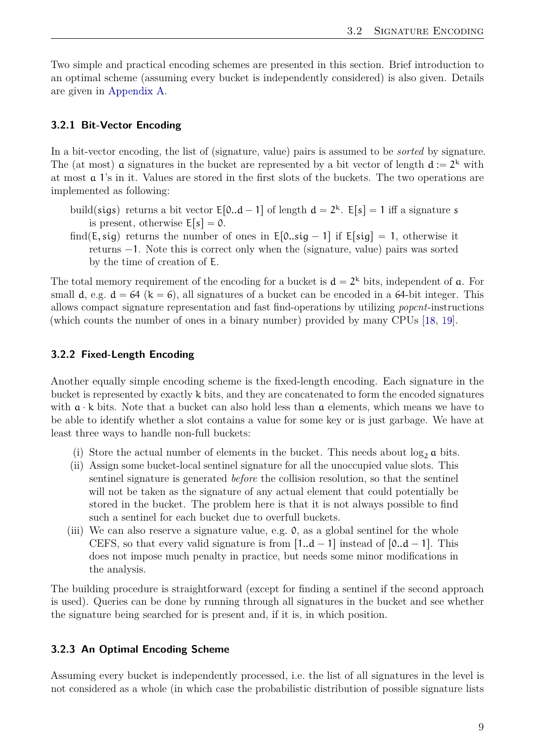<span id="page-16-3"></span>Two simple and practical encoding schemes are presented in this section. Brief introduction to an optimal scheme (assuming every bucket is independently considered) is also given. Details are given in [Appendix A.](#page-39-0)

#### <span id="page-16-0"></span>**3.2.1 Bit-Vector Encoding**

In a bit-vector encoding, the list of (signature, value) pairs is assumed to be *sorted* by signature. The (at most) **a** signatures in the bucket are represented by a bit vector of length  $d := 2^k$  with at most a 1's in it. Values are stored in the first slots of the buckets. The two operations are implemented as following:

- build(sigs) returns a bit vector  $E[0..d 1]$  of length  $d = 2<sup>k</sup>$ .  $E[s] = 1$  iff a signature s is present, otherwise  $E[s] = 0$ .
- find( $E$ , sig) returns the number of ones in  $E[0..sig 1]$  if  $E[sig] = 1$ , otherwise it returns  $-1$ . Note this is correct only when the (signature, value) pairs was sorted by the time of creation of E.

The total memory requirement of the encoding for a bucket is  $d = 2<sup>k</sup>$  bits, independent of a. For small d, e.g.  $d = 64$  (k = 6), all signatures of a bucket can be encoded in a 64-bit integer. This allows compact signature representation and fast find-operations by utilizing *popcnt*-instructions (which counts the number of ones in a binary number) provided by many CPUs [\[18,](#page-38-0) [19\]](#page-38-1).

#### <span id="page-16-1"></span>**3.2.2 Fixed-Length Encoding**

Another equally simple encoding scheme is the fixed-length encoding. Each signature in the bucket is represented by exactly k bits, and they are concatenated to form the encoded signatures with  $a \cdot k$  bits. Note that a bucket can also hold less than  $a$  elements, which means we have to be able to identify whether a slot contains a value for some key or is just garbage. We have at least three ways to handle non-full buckets:

- (i) Store the actual number of elements in the bucket. This needs about  $\log_2 a$  bits.
- (ii) Assign some bucket-local sentinel signature for all the unoccupied value slots. This sentinel signature is generated *before* the collision resolution, so that the sentinel will not be taken as the signature of any actual element that could potentially be stored in the bucket. The problem here is that it is not always possible to find such a sentinel for each bucket due to overfull buckets.
- (iii) We can also reserve a signature value, e.g. 0, as a global sentinel for the whole CEFS, so that every valid signature is from  $[1..d - 1]$  instead of  $[0..d - 1]$ . This does not impose much penalty in practice, but needs some minor modifications in the analysis.

The building procedure is straightforward (except for finding a sentinel if the second approach is used). Queries can be done by running through all signatures in the bucket and see whether the signature being searched for is present and, if it is, in which position.

#### <span id="page-16-2"></span>**3.2.3 An Optimal Encoding Scheme**

Assuming every bucket is independently processed, i.e. the list of all signatures in the level is not considered as a whole (in which case the probabilistic distribution of possible signature lists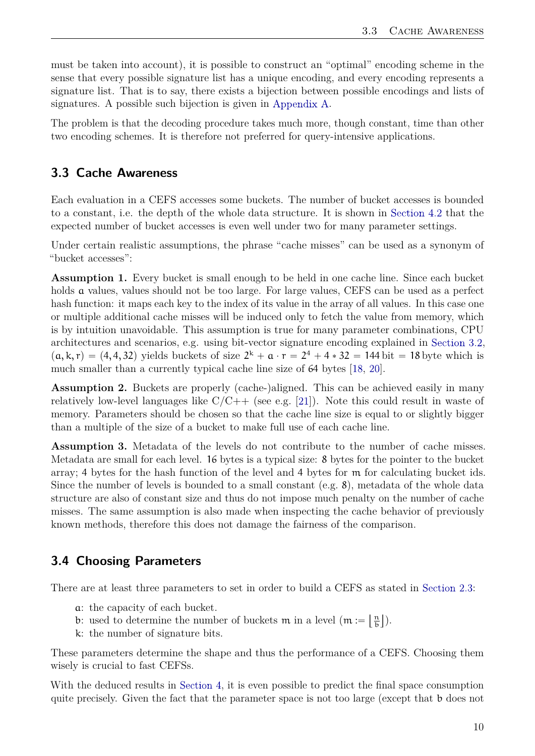<span id="page-17-2"></span>must be taken into account), it is possible to construct an "optimal" encoding scheme in the sense that every possible signature list has a unique encoding, and every encoding represents a signature list. That is to say, there exists a bijection between possible encodings and lists of signatures. A possible such bijection is given in [Appendix A.](#page-39-0)

The problem is that the decoding procedure takes much more, though constant, time than other two encoding schemes. It is therefore not preferred for query-intensive applications.

#### <span id="page-17-0"></span>**3.3 Cache Awareness**

Each evaluation in a CEFS accesses some buckets. The number of bucket accesses is bounded to a constant, i.e. the depth of the whole data structure. It is shown in [Section 4.2](#page-22-0) that the expected number of bucket accesses is even well under two for many parameter settings.

Under certain realistic assumptions, the phrase "cache misses" can be used as a synonym of "bucket accesses":

**Assumption 1.** Every bucket is small enough to be held in one cache line. Since each bucket holds **a** values, values should not be too large. For large values, CEFS can be used as a perfect hash function: it maps each key to the index of its value in the array of all values. In this case one or multiple additional cache misses will be induced only to fetch the value from memory, which is by intuition unavoidable. This assumption is true for many parameter combinations, CPU architectures and scenarios, e.g. using bit-vector signature encoding explained in [Section 3.2,](#page-15-2)  $(a, k, r) = (4, 4, 32)$  yields buckets of size  $2^k + a \cdot r = 2^4 + 4 \cdot 32 = 144$  bit = 18 byte which is much smaller than a currently typical cache line size of 64 bytes [\[18,](#page-38-0) [20\]](#page-38-2).

**Assumption 2.** Buckets are properly (cache-)aligned. This can be achieved easily in many relatively low-level languages like  $C/C++$  (see e.g. [\[21\]](#page-38-3)). Note this could result in waste of memory. Parameters should be chosen so that the cache line size is equal to or slightly bigger than a multiple of the size of a bucket to make full use of each cache line.

**Assumption 3.** Metadata of the levels do not contribute to the number of cache misses. Metadata are small for each level. 16 bytes is a typical size: 8 bytes for the pointer to the bucket array; 4 bytes for the hash function of the level and 4 bytes for m for calculating bucket ids. Since the number of levels is bounded to a small constant  $(e.g. 8)$ , metadata of the whole data structure are also of constant size and thus do not impose much penalty on the number of cache misses. The same assumption is also made when inspecting the cache behavior of previously known methods, therefore this does not damage the fairness of the comparison.

#### <span id="page-17-1"></span>**3.4 Choosing Parameters**

There are at least three parameters to set in order to build a CEFS as stated in [Section 2.3:](#page-13-0)

 $\overline{a}$ 

 $\mathbf{r}$ 

- a: the capacity of each bucket.
- b: used to determine the number of buckets m in a level  $(m := \frac{1}{b})$  $\frac{n}{b}$ ).
- k: the number of signature bits.

These parameters determine the shape and thus the performance of a CEFS. Choosing them wisely is crucial to fast CEFSs.

With the deduced results in [Section 4,](#page-19-0) it is even possible to predict the final space consumption quite precisely. Given the fact that the parameter space is not too large (except that b does not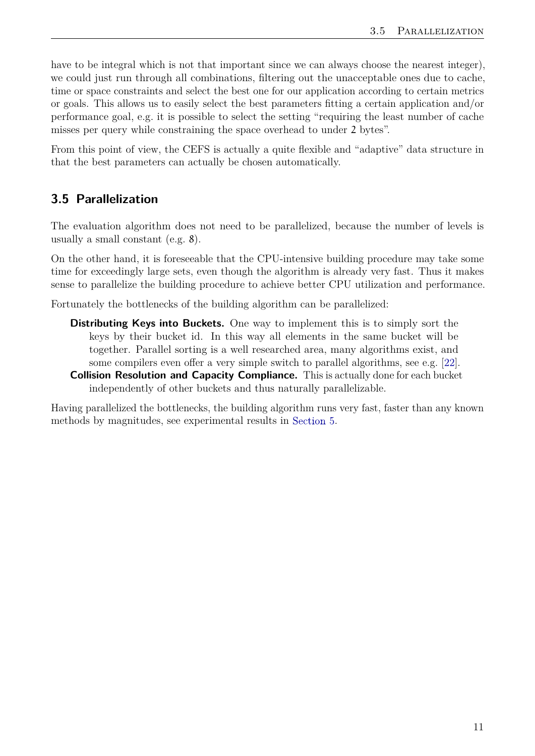<span id="page-18-1"></span>have to be integral which is not that important since we can always choose the nearest integer), we could just run through all combinations, filtering out the unacceptable ones due to cache, time or space constraints and select the best one for our application according to certain metrics or goals. This allows us to easily select the best parameters fitting a certain application and/or performance goal, e.g. it is possible to select the setting "requiring the least number of cache misses per query while constraining the space overhead to under 2 bytes".

From this point of view, the CEFS is actually a quite flexible and "adaptive" data structure in that the best parameters can actually be chosen automatically.

#### <span id="page-18-0"></span>**3.5 Parallelization**

The evaluation algorithm does not need to be parallelized, because the number of levels is usually a small constant (e.g. 8).

On the other hand, it is foreseeable that the CPU-intensive building procedure may take some time for exceedingly large sets, even though the algorithm is already very fast. Thus it makes sense to parallelize the building procedure to achieve better CPU utilization and performance.

Fortunately the bottlenecks of the building algorithm can be parallelized:

- **Distributing Keys into Buckets.** One way to implement this is to simply sort the keys by their bucket id. In this way all elements in the same bucket will be together. Parallel sorting is a well researched area, many algorithms exist, and some compilers even offer a very simple switch to parallel algorithms, see e.g. [\[22\]](#page-38-4).
- **Collision Resolution and Capacity Compliance.** This is actually done for each bucket independently of other buckets and thus naturally parallelizable.

Having parallelized the bottlenecks, the building algorithm runs very fast, faster than any known methods by magnitudes, see experimental results in [Section 5.](#page-28-0)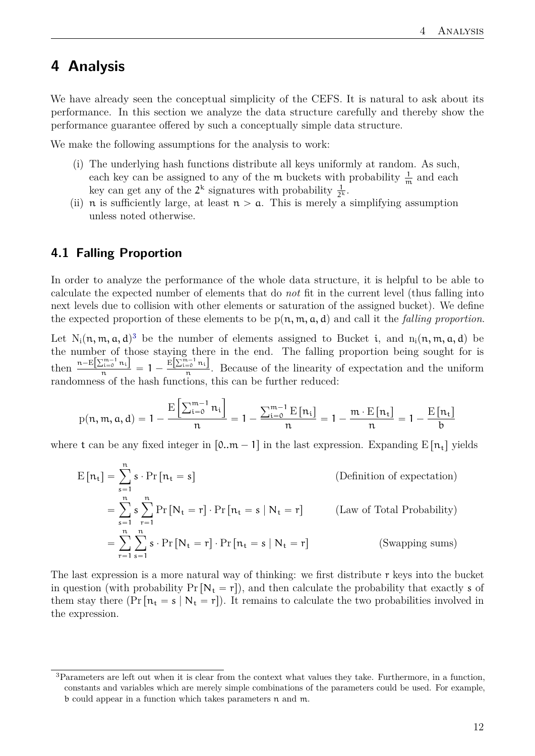## <span id="page-19-0"></span>**4 Analysis**

We have already seen the conceptual simplicity of the CEFS. It is natural to ask about its performance. In this section we analyze the data structure carefully and thereby show the performance guarantee offered by such a conceptually simple data structure.

We make the following assumptions for the analysis to work:

- (i) The underlying hash functions distribute all keys uniformly at random. As such, each key can be assigned to any of the m buckets with probability  $\frac{1}{m}$  and each key can get any of the  $2^k$  signatures with probability  $\frac{1}{2^k}$ .
- (ii) n is sufficiently large, at least  $n > a$ . This is merely a simplifying assumption unless noted otherwise.

#### <span id="page-19-1"></span>**4.1 Falling Proportion**

In order to analyze the performance of the whole data structure, it is helpful to be able to calculate the expected number of elements that do *not* fit in the current level (thus falling into next levels due to collision with other elements or saturation of the assigned bucket). We define the expected proportion of these elements to be  $p(n, m, a, d)$  and call it the *falling proportion*.

Let  $N_i(n, m, a, d)^3$  $N_i(n, m, a, d)^3$  be the number of elements assigned to Bucket i, and  $n_i(n, m, a, d)$  be the number of those staying there in the end. The falling proportion being sought for is then  $\frac{n - E[\sum_{i=0}^{n-1} n_i]}{n} = 1 - \frac{E[\sum_{i=0}^{n-1} n_i]}{n}$  $\frac{1}{n}$ . Because of the linearity of expectation and the uniform randomness of the hash functions, this can be further reduced:

$$
p(n,m,a,d)=1-\frac{\mathrm{E}\left[\sum_{i=0}^{m-1}n_i\right]}{n}=1-\frac{\sum_{i=0}^{m-1}\mathrm{E}\left[n_i\right]}{n}=1-\frac{m\cdot\mathrm{E}\left[n_t\right]}{n}=1-\frac{\mathrm{E}\left[n_t\right]}{b}
$$

ı

where t can be any fixed integer in  $[0..m - 1]$  in the last expression. Expanding E  $[n_t]$  yields

$$
E[n_t] = \sum_{s=1}^{n} s \cdot Pr[n_t = s]
$$
 (Definition of expectation)  
= 
$$
\sum_{s=1}^{n} s \sum_{r=1}^{n} Pr[N_t = r] \cdot Pr[n_t = s | N_t = r]
$$
 (Law of Total Probability)  
= 
$$
\sum_{r=1}^{n} \sum_{s=1}^{n} s \cdot Pr[N_t = r] \cdot Pr[n_t = s | N_t = r]
$$
 (Swapping sums)

The last expression is a more natural way of thinking: we first distribute r keys into the bucket in question (with probability  $Pr[N_t = r]$ ), and then calculate the probability that exactly s of them stay there  $(Pr[n_t = s | N_t = r])$ . It remains to calculate the two probabilities involved in the expression.

<span id="page-19-2"></span><sup>3</sup>Parameters are left out when it is clear from the context what values they take. Furthermore, in a function, constants and variables which are merely simple combinations of the parameters could be used. For example, b could appear in a function which takes parameters n and m.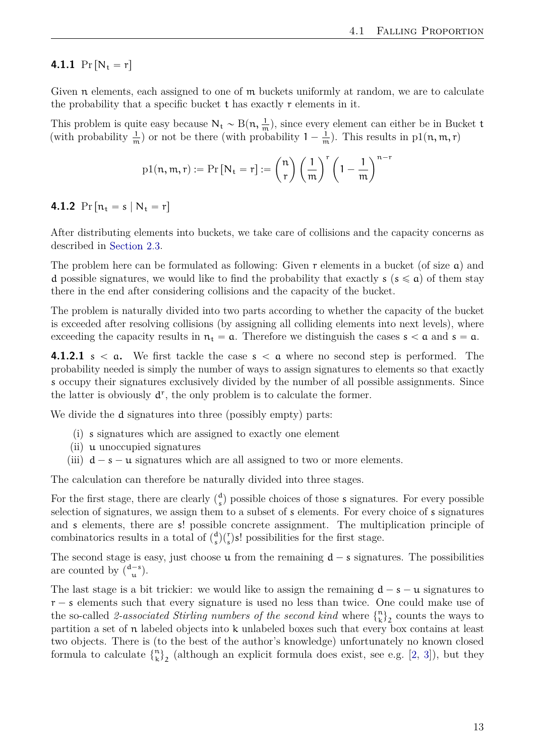#### <span id="page-20-0"></span>**4.1.1**  $Pr[N_t = r]$

Given n elements, each assigned to one of m buckets uniformly at random, we are to calculate the probability that a specific bucket  $t$  has exactly  $r$  elements in it.

This problem is quite easy because  $N_t \sim B(n, \frac{1}{m})$ , since every element can either be in Bucket t (with probability  $\frac{1}{m}$ ) or not be there (with probability  $1 - \frac{1}{m}$ ). This results in p1(n, m, r)

$$
\mathrm{p1}(n,m,r):=\Pr\left[N_{\mathrm{t}}=r\right]:=\binom{n}{r}\left(\frac{1}{m}\right)^{r}\left(1-\frac{1}{m}\right)^{n-r}
$$

**4.1.2**  $Pr[n_t = s | N_t = r]$ 

After distributing elements into buckets, we take care of collisions and the capacity concerns as described in [Section 2.3.](#page-13-0)

The problem here can be formulated as following: Given r elements in a bucket (of size a) and d possible signatures, we would like to find the probability that exactly  $s$  ( $s \leq a$ ) of them stay there in the end after considering collisions and the capacity of the bucket.

The problem is naturally divided into two parts according to whether the capacity of the bucket is exceeded after resolving collisions (by assigning all colliding elements into next levels), where exceeding the capacity results in  $n_t = a$ . Therefore we distinguish the cases  $s < a$  and  $s = a$ .

**4.1.2.1** s  $\lt$  **a.** We first tackle the case s  $\lt$  **a** where no second step is performed. The probability needed is simply the number of ways to assign signatures to elements so that exactly s occupy their signatures exclusively divided by the number of all possible assignments. Since the latter is obviously  $d^r$ , the only problem is to calculate the former.

We divide the **d** signatures into three (possibly empty) parts:

- (i) s signatures which are assigned to exactly one element
- (ii) u unoccupied signatures
- (iii)  $d s u$  signatures which are all assigned to two or more elements.

The calculation can therefore be naturally divided into three stages.

For the first stage, there are clearly  $\binom{d}{s}$  $s$ ) possible choices of those s signatures. For every possible selection of signatures, we assign them to a subset of s elements. For every choice of s signatures and s elements, there are s! possible concrete assignment. The multiplication principle of combinatorics results in a total of  $\binom{d}{s}$  $S(s)$ <sup>d</sup> $(s)$ s! possibilities for the first stage.

The second stage is easy, just choose  $\mu$  from the remaining  $d - s$  signatures. The possibilities are counted by  $\binom{d-s}{u}$  $\binom{-s}{\mathfrak{u}}$ .

The last stage is a bit trickier: we would like to assign the remaining  $d - s - u$  signatures to  $r - s$  elements such that every signature is used no less than twice. One could make use of the so-called 2-associated Stirling numbers of the second kind where  $\binom{n}{k}$  $\binom{n}{k}_2$  counts the ways to partition a set of n labeled objects into k unlabeled boxes such that every box contains at least two objects. There is (to the best of the author's knowledge) unfortunately no known closed formula to calculate  $\begin{Bmatrix} n \\ k \end{Bmatrix}$  $\binom{n}{k}_2$  (although an explicit formula does exist, see e.g. [\[2,](#page-37-1) [3\]](#page-37-2)), but they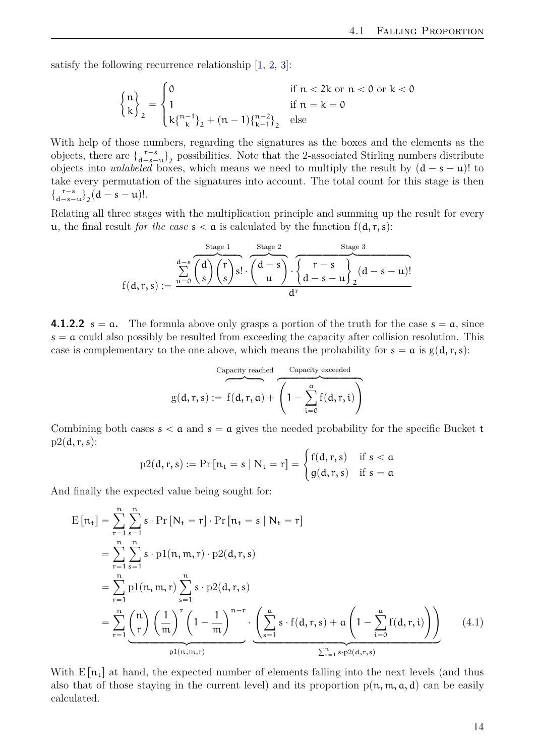<span id="page-21-1"></span>satisfy the following recurrence relationship [\[1,](#page-37-0) [2,](#page-37-1) [3\]](#page-37-2):

$$
\begin{Bmatrix}n \\ k \end{Bmatrix}_2 = \begin{cases} 0 & \text{if } n < 2k \text{ or } n < 0 \text{ or } k < 0 \\ 1 & \text{if } n = k = 0 \\ k\{\frac{n-1}{k}\}_2 + (n-1)\{\frac{n-2}{k-1}\}_2 & \text{else} \end{cases}
$$

With help of those numbers, regarding the signatures as the boxes and the elements as the objects, there are  $\begin{cases} r-s \\ d-s \end{cases}$  $\begin{bmatrix}r-s\\d-s-u\end{bmatrix}$  possibilities. Note that the 2-associated Stirling numbers distribute objects into *unlabeled* boxes, which means we need to multiply the result by  $(d - s - u)$ ! to take every permutation of the signatures into account. The total count for this stage is then  $\begin{cases} r-s \\ d-s \end{cases}$  $\binom{r-s}{d-s-u}_2(d-s-u)!$ .

Relating all three stages with the multiplication principle and summing up the result for every u, the final result *for the case*  $s < a$  is calculated by the function  $f(d, r, s)$ :

$$
f(d,r,s):=\frac{\sum\limits_{u=0}^{d-s}\overbrace{\binom{d}{s}\binom{r}{s}s!}\cdot\overbrace{\binom{d-s}{u}}^{Stage\ 2}\cdot\overbrace{\left\{\frac{r-s}{d-s-u}\right\}_{2}}^{Stage\ 3}(d-s-u)!}{d^r}
$$

**4.1.2.2**  $s = a$ . The formula above only grasps a portion of the truth for the case  $s = a$ , since  $s = a$  could also possibly be resulted from exceeding the capacity after collision resolution. This case is complementary to the one above, which means the probability for  $s = a$  is  $g(d, r, s)$ :

$$
g(d,r,s) := f(d,r,a) + \overbrace{\left(1 - \sum_{i=0}^{a} f(d,r,i)\right)}^{Capacity\ exceeds}
$$

Combining both cases  $s < a$  and  $s = a$  gives the needed probability for the specific Bucket t  $p2(d, r, s)$ : #

<span id="page-21-0"></span>
$$
p2(d,r,s) := Pr[n_t = s \mid N_t = r] = \begin{cases} f(d,r,s) & \text{if } s < a \\ g(d,r,s) & \text{if } s = a \end{cases}
$$

And finally the expected value being sought for:

$$
E[n_{t}] = \sum_{r=1}^{n} \sum_{s=1}^{n} s \cdot Pr[N_{t} = r] \cdot Pr[n_{t} = s | N_{t} = r]
$$
  
\n
$$
= \sum_{r=1}^{n} \sum_{s=1}^{n} s \cdot p1(n, m, r) \cdot p2(d, r, s)
$$
  
\n
$$
= \sum_{r=1}^{n} p1(n, m, r) \sum_{s=1}^{n} s \cdot p2(d, r, s)
$$
  
\n
$$
= \sum_{r=1}^{n} {n \choose r} \left(\frac{1}{m}\right)^{r} \left(1 - \frac{1}{m}\right)^{n-r} \cdot \left(\sum_{s=1}^{n} s \cdot f(d, r, s) + a \left(1 - \sum_{i=0}^{n} f(d, r, i)\right)\right)
$$
(4.1)

With  $E[\mathbf{n_t}]$  at hand, the expected number of elements falling into the next levels (and thus also that of those staying in the current level) and its proportion  $p(n, m, a, d)$  can be easily calculated.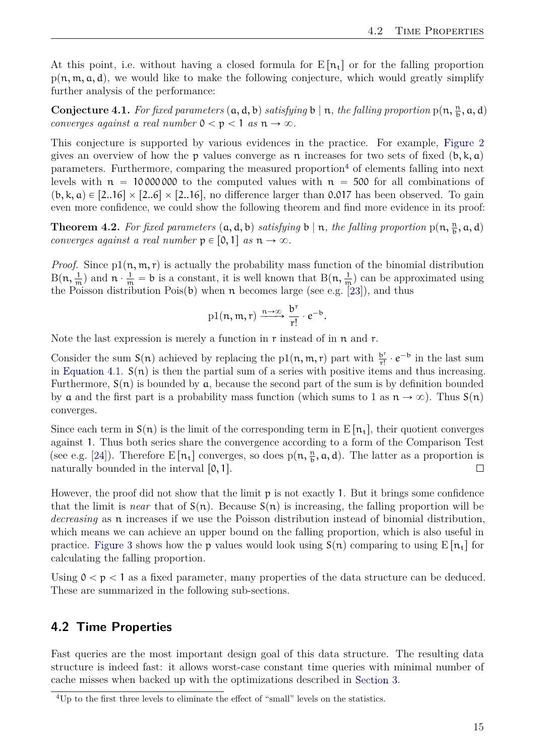<span id="page-22-2"></span>At this point, i.e. without having a closed formula for  $E[n_t]$  or for the falling proportion  $p(n, m, a, d)$ , we would like to make the following conjecture, which would greatly simplify further analysis of the performance:

**Conjecture 4.1.** For fixed parameters  $(a, d, b)$  satisfying b | n, the falling proportion  $p(n, \frac{n}{b}, a, d)$ *converges against a real number*  $0 \lt p \lt 1$  *as*  $n \to \infty$ .

This conjecture is supported by various evidences in the practice. For example, [Figure 2](#page-23-1) gives an overview of how the p values converge as n increases for two sets of fixed  $(b, k, a)$ parameters. Furthermore, comparing the measured proportion<sup>[4](#page-22-1)</sup> of elements falling into next levels with  $n = 10000000$  to the computed values with  $n = 500$  for all combinations of  $(b, k, a) \in [2..16] \times [2..6] \times [2..16]$ , no difference larger than 0.017 has been observed. To gain even more confidence, we could show the following theorem and find more evidence in its proof:

**Theorem 4.2.** For fixed parameters  $(a, d, b)$  satisfying b | n, the falling proportion  $p(n, \frac{n}{b}, a, d)$ *converges against a real number*  $p \in [0, 1]$  *as*  $n \to \infty$ *.* 

*Proof.* Since  $p1(n, m, r)$  is actually the probability mass function of the binomial distribution  $B(n, \frac{1}{m})$  and  $n \cdot \frac{1}{m} = b$  is a constant, it is well known that  $B(n, \frac{1}{m})$  can be approximated using the Poisson distribution  $Pois(b)$  when n becomes large (see e.g. [\[23\]](#page-38-5)), and thus

$$
\text{pl}(n,m,r) \xrightarrow{n \to \infty} \frac{b^r}{r!} \cdot e^{-b}.
$$

Note the last expression is merely a function in r instead of in n and r.

Consider the sum  $S(n)$  achieved by replacing the p1 $(n, m, r)$  part with  $\frac{b^r}{r!}$  $\frac{b^r}{r!} \cdot e^{-b}$  in the last sum in [Equation 4.1.](#page-21-0)  $S(n)$  is then the partial sum of a series with positive items and thus increasing. Furthermore,  $S(n)$  is bounded by a, because the second part of the sum is by definition bounded by a and the first part is a probability mass function (which sums to 1 as  $n \to \infty$ ). Thus  $S(n)$ converges.

Since each term in  $S(n)$  is the limit of the corresponding term in  $E[n_t]$ , their quotient converges against 1. Thus both series share the convergence according to a form of the Comparison Test (see e.g. [\[24\]](#page-38-6)). Therefore  $E[n_t]$  converges, so does  $p(n, \frac{n}{b}, a, d)$ . The latter as a proportion is naturally bounded in the interval  $[0, 1]$ .  $\Box$ 

However, the proof did not show that the limit  $p$  is not exactly 1. But it brings some confidence that the limit is *near* that of  $S(n)$ . Because  $S(n)$  is increasing, the falling proportion will be *decreasing* as n increases if we use the Poisson distribution instead of binomial distribution, which means we can achieve an upper bound on the falling proportion, which is also useful in practice. [Figure 3](#page-24-1) shows how the p values would look using  $S(n)$  comparing to using  $E[n_t]$  for calculating the falling proportion.

Using  $0 < p < 1$  as a fixed parameter, many properties of the data structure can be deduced. These are summarized in the following sub-sections.

#### <span id="page-22-0"></span>**4.2 Time Properties**

Fast queries are the most important design goal of this data structure. The resulting data structure is indeed fast: it allows worst-case constant time queries with minimal number of cache misses when backed up with the optimizations described in [Section 3.](#page-15-0)

<span id="page-22-1"></span><sup>&</sup>lt;sup>4</sup>Up to the first three levels to eliminate the effect of "small" levels on the statistics.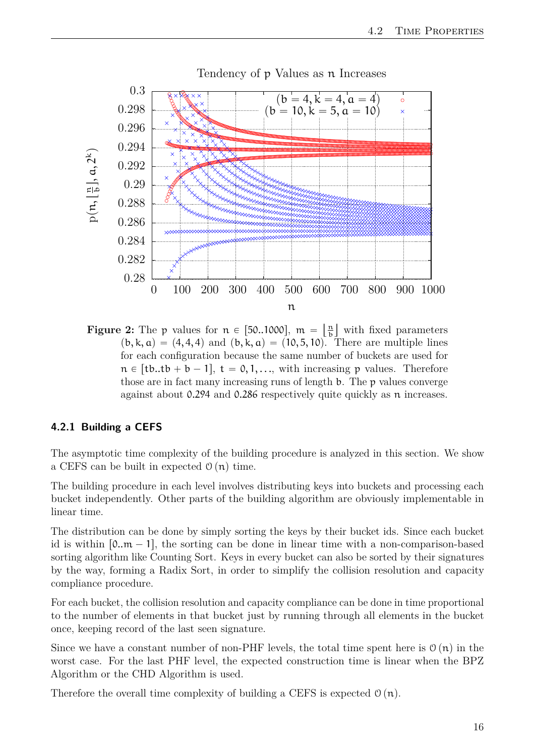<span id="page-23-1"></span>

Tendency of p Values as n Increases

**Figure 2:** The p values for  $n \in [50..1000]$ ,  $m = \frac{n}{b}$  $\frac{n}{b}$  with fixed parameters  $(b, k, a) = (4, 4, 4)$  and  $(b, k, a) = (10, 5, 10)$ . There are multiple lines for each configuration because the same number of buckets are used for  $n \in [tb..tb + b - 1], t = 0, 1, ...,$  with increasing p values. Therefore those are in fact many increasing runs of length b. The p values converge against about 0.294 and 0.286 respectively quite quickly as n increases.

#### <span id="page-23-0"></span>**4.2.1 Building a CEFS**

The asymptotic time complexity of the building procedure is analyzed in this section. We show a CEFS can be built in expected  $\mathcal{O}(n)$  time.

The building procedure in each level involves distributing keys into buckets and processing each bucket independently. Other parts of the building algorithm are obviously implementable in linear time.

The distribution can be done by simply sorting the keys by their bucket ids. Since each bucket id is within  $[0..m - 1]$ , the sorting can be done in linear time with a non-comparison-based sorting algorithm like Counting Sort. Keys in every bucket can also be sorted by their signatures by the way, forming a Radix Sort, in order to simplify the collision resolution and capacity compliance procedure.

For each bucket, the collision resolution and capacity compliance can be done in time proportional to the number of elements in that bucket just by running through all elements in the bucket once, keeping record of the last seen signature.

Since we have a constant number of non-PHF levels, the total time spent here is  $\mathcal{O}(n)$  in the worst case. For the last PHF level, the expected construction time is linear when the BPZ Algorithm or the CHD Algorithm is used.

Therefore the overall time complexity of building a CEFS is expected  $\mathcal{O}(n)$ .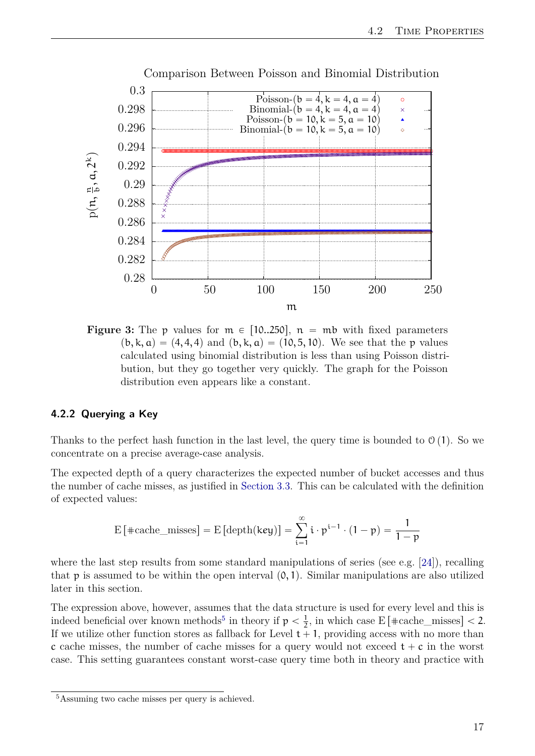<span id="page-24-3"></span><span id="page-24-1"></span>

**Figure 3:** The p values for  $m \in [10..250]$ ,  $n = mb$  with fixed parameters  $(b, k, a) = (4, 4, 4)$  and  $(b, k, a) = (10, 5, 10)$ . We see that the p values calculated using binomial distribution is less than using Poisson distribution, but they go together very quickly. The graph for the Poisson distribution even appears like a constant.

#### <span id="page-24-0"></span>**4.2.2 Querying a Key**

Thanks to the perfect hash function in the last level, the query time is bounded to  $\mathcal{O}(1)$ . So we concentrate on a precise average-case analysis.

The expected depth of a query characterizes the expected number of bucket accesses and thus the number of cache misses, as justified in [Section 3.3.](#page-17-0) This can be calculated with the definition of expected values:

$$
\mathrm{E}\left[\left.\#\mathrm{cache\_misses}\right]=\mathrm{E}\left[\mathrm{depth}(\mathrm{key})\right]=\sum_{i=1}^{\infty}i\cdot p^{i-1}\cdot(1-p)=\frac{1}{1-p}
$$

where the last step results from some standard manipulations of series (see e.g.  $[24]$ ), recalling that  $p$  is assumed to be within the open interval  $(0, 1)$ . Similar manipulations are also utilized later in this section.

The expression above, however, assumes that the data structure is used for every level and this is indeed beneficial over known methods<sup>[5](#page-24-2)</sup> in theory if  $p < \frac{1}{2}$ , in which case E[#cache\_misses] < 2. If we utilize other function stores as fallback for Level  $t + 1$ , providing access with no more than c cache misses, the number of cache misses for a query would not exceed  $t + c$  in the worst case. This setting guarantees constant worst-case query time both in theory and practice with

<span id="page-24-2"></span><sup>5</sup>Assuming two cache misses per query is achieved.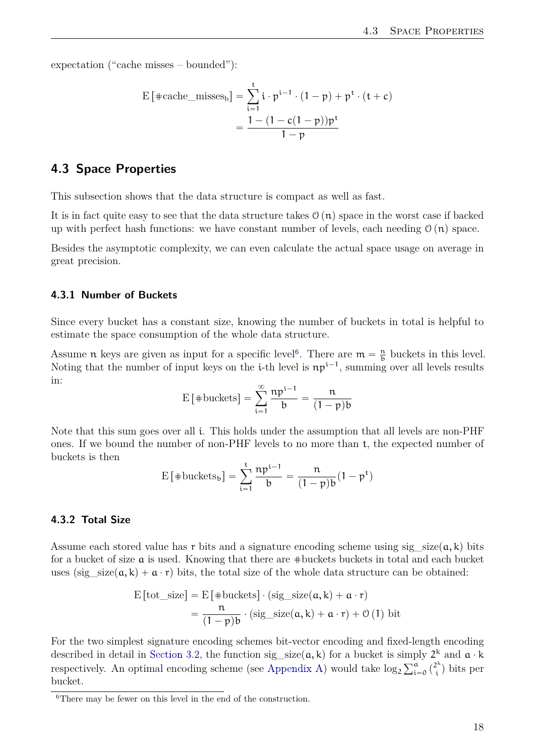expectation ("cache misses – bounded"):

$$
\begin{aligned} \mathrm{E}\left[\mathrm{\#cache\_misses}_b\right] & = \sum_{i=1}^t i \cdot p^{i-1} \cdot (1-p) + p^t \cdot (t+c) \\ & = \frac{1 - (1 - c(1-p))p^t}{1-p} \end{aligned}
$$

#### <span id="page-25-0"></span>**4.3 Space Properties**

This subsection shows that the data structure is compact as well as fast.

It is in fact quite easy to see that the data structure takes  $\mathcal{O}(n)$  space in the worst case if backed up with perfect hash functions: we have constant number of levels, each needing  $\mathcal{O}(n)$  space.

Besides the asymptotic complexity, we can even calculate the actual space usage on average in great precision.

#### <span id="page-25-1"></span>**4.3.1 Number of Buckets**

Since every bucket has a constant size, knowing the number of buckets in total is helpful to estimate the space consumption of the whole data structure.

Assume *n* keys are given as input for a specific level<sup>[6](#page-25-3)</sup>. There are  $m = \frac{n}{b}$  buckets in this level. Noting that the number of input keys on the *i*-th level is  $np^{i-1}$ , summing over all levels results in:

$$
E\left[\text{#buckets}\right] = \sum_{i=1}^{\infty} \frac{np^{i-1}}{b} = \frac{n}{(1-p)b}
$$

Note that this sum goes over all i. This holds under the assumption that all levels are non-PHF ones. If we bound the number of non-PHF levels to no more than t, the expected number of buckets is then

$$
\mathrm{E}\left[\mathrm{\#buckets}_{b}\right]=\sum_{i=1}^{t}\frac{np^{i-1}}{b}=\frac{n}{(1-p)b}(1-p^{t})
$$

#### <span id="page-25-2"></span>**4.3.2 Total Size**

Assume each stored value has r bits and a signature encoding scheme using sig size  $(a, k)$  bits for a bucket of size a is used. Knowing that there are #buckets buckets in total and each bucket uses (sig\_size( $a, k$ ) +  $a \cdot r$ ) bits, the total size of the whole data structure can be obtained:

$$
\begin{aligned} \text{E}\left[\text{tot\_size}\right] &= \text{E}\left[\text{\#buckets}\right] \cdot (\text{sig\_size}(a, k) + a \cdot r) \\ &= \frac{n}{(1 - p)b} \cdot (\text{sig\_size}(a, k) + a \cdot r) + \mathcal{O}\left(1\right) \text{ bit} \end{aligned}
$$

For the two simplest signature encoding schemes bit-vector encoding and fixed-length encoding described in detail in [Section 3.2,](#page-15-2) the function sig\_size( $\alpha, k$ ) for a bucket is simply  $2^k$  and  $\alpha \cdot k$ respectively. An optimal encoding scheme (see [Appendix A\)](#page-39-0) would take  $log_2$ mp<br>Na  $\begin{matrix} a \\ i = 0 \end{matrix}$  $\begin{pmatrix} 2^k \\ i \end{pmatrix}$  $\binom{2^k}{i}$  bits per bucket.

<span id="page-25-3"></span><sup>&</sup>lt;sup>6</sup>There may be fewer on this level in the end of the construction.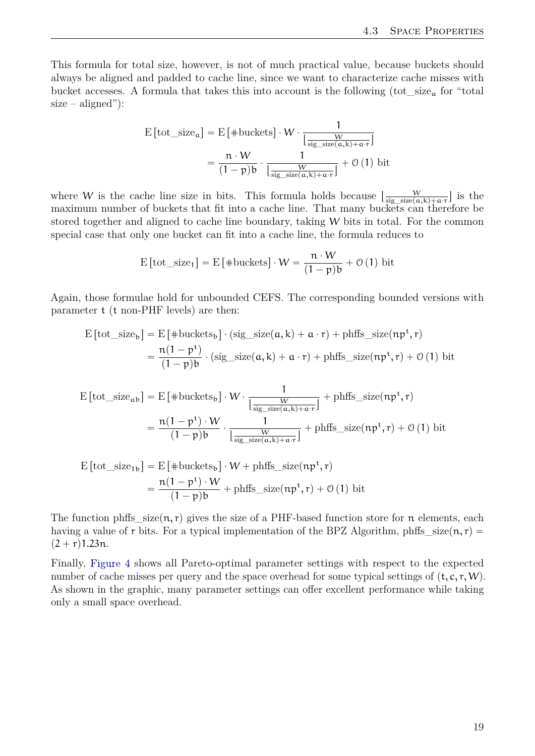This formula for total size, however, is not of much practical value, because buckets should always be aligned and padded to cache line, since we want to characterize cache misses with bucket accesses. A formula that takes this into account is the following  $(\text{tot\_size}_{a}$  for "total  $size - aligned$ "):

$$
E\left[\text{tot\_size}_{a}\right] = E\left[\text{*buckets}\right] \cdot W \cdot \frac{1}{\left[\frac{W}{\text{sig\_size}(a,k) + a \cdot r}\right]}
$$

$$
= \frac{n \cdot W}{(1 - p)b} \cdot \frac{1}{\left[\frac{W}{\text{sig\_size}(a,k) + a \cdot r}\right]} + \mathcal{O}\left(1\right) \text{ bit}
$$

where W is the cache line size in bits. This formula holds because  $\frac{W}{\text{size (size)}}$  $\frac{W}{\text{sig\_size}(a,k)+a\cdot r}$  is the maximum number of buckets that fit into a cache line. That many buckets can therefore be stored together and aligned to cache line boundary, taking W bits in total. For the common special case that only one bucket can fit into a cache line, the formula reduces to

$$
E\left[\text{tot\_size}_1\right] = E\left[\text{*buckets}\right] \cdot W = \frac{n \cdot W}{(1-p)b} + \mathcal{O}\left(1\right) \text{ bit}
$$

Again, those formulae hold for unbounded CEFS. The corresponding bounded versions with parameter t (t non-PHF levels) are then:

$$
E\left[\text{tot\_size}_b\right] = E\left[\text{#buckets}_b\right] \cdot (\text{sig\_size}(a, k) + a \cdot r) + \text{phffs\_size}(np^t, r)
$$

$$
= \frac{n(1 - p^t)}{(1 - p)b} \cdot (\text{sig\_size}(a, k) + a \cdot r) + \text{phffs\_size}(np^t, r) + \mathcal{O}(1) \text{ bit}
$$

$$
E\left[\text{tot\_size}_{ab}\right] = E\left[\text{#buckets}_{b}\right] \cdot W \cdot \frac{1}{\left[\frac{W}{\text{sig\_size}(a,k)+a\cdot r}\right]} + \text{phffs\_size}(np^{t}, r)
$$

$$
= \frac{n(1-p^{t}) \cdot W}{(1-p)b} \cdot \frac{1}{\left[\frac{W}{\text{sig\_size}(a,k)+a\cdot r}\right]} + \text{phffs\_size}(np^{t}, r) + \mathcal{O}\left(1\right) \text{bit}
$$

$$
E\left[\text{tot\_size}_{1b}\right] = E\left[\text{#buckets}_{b}\right] \cdot W + \text{phffs\_size}(np^{t}, r)
$$

$$
= \frac{n(1 - p^{t}) \cdot W}{(1 - p)b} + \text{phffs\_size}(np^{t}, r) + \mathcal{O}(1) \text{ bit}
$$

The function phffs  $size(n, r)$  gives the size of a PHF-based function store for n elements, each having a value of r bits. For a typical implementation of the BPZ Algorithm, phffs  $size(n, r)$  $(2 + r)1.23n$ .

Finally, [Figure 4](#page-27-0) shows all Pareto-optimal parameter settings with respect to the expected number of cache misses per query and the space overhead for some typical settings of  $(t, c, r, W)$ . As shown in the graphic, many parameter settings can offer excellent performance while taking only a small space overhead.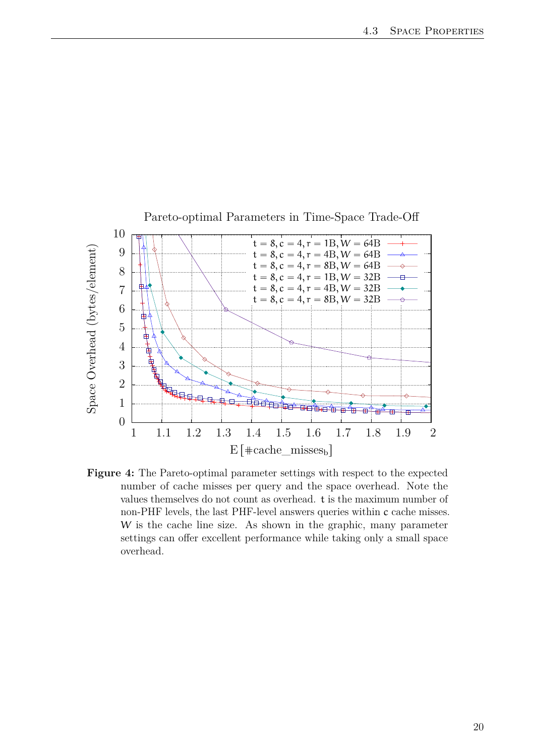<span id="page-27-0"></span>

**Figure 4:** The Pareto-optimal parameter settings with respect to the expected number of cache misses per query and the space overhead. Note the values themselves do not count as overhead. t is the maximum number of non-PHF levels, the last PHF-level answers queries within c cache misses. W is the cache line size. As shown in the graphic, many parameter settings can offer excellent performance while taking only a small space overhead.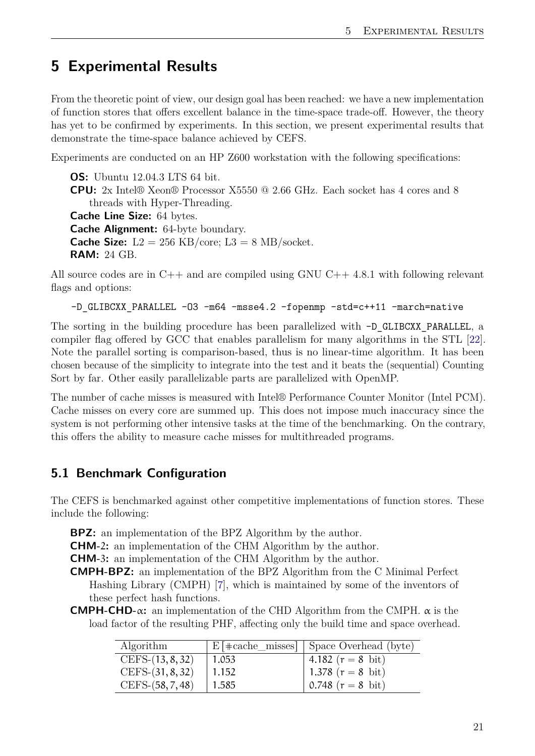## <span id="page-28-3"></span><span id="page-28-0"></span>**5 Experimental Results**

From the theoretic point of view, our design goal has been reached: we have a new implementation of function stores that offers excellent balance in the time-space trade-off. However, the theory has yet to be confirmed by experiments. In this section, we present experimental results that demonstrate the time-space balance achieved by CEFS.

Experiments are conducted on an HP Z600 workstation with the following specifications:

**OS:** Ubuntu 12.04.3 LTS 64 bit. **CPU:** 2x Intel® Xeon® Processor X5550 @ 2.66 GHz. Each socket has 4 cores and 8 threads with Hyper-Threading. **Cache Line Size:** 64 bytes. **Cache Alignment:** 64-byte boundary. **Cache Size:**  $L2 = 256$  KB/core;  $L3 = 8$  MB/socket. **RAM:** 24 GB.

All source codes are in C++ and are compiled using GNU C++ 4.8.1 with following relevant flags and options:

-D GLIBCXX PARALLEL -03 -m64 -msse4.2 -fopenmp -std=c++11 -march=native

The sorting in the building procedure has been parallelized with  $-D$  GLIBCXX PARALLEL, a compiler flag offered by GCC that enables parallelism for many algorithms in the STL [\[22\]](#page-38-4). Note the parallel sorting is comparison-based, thus is no linear-time algorithm. It has been chosen because of the simplicity to integrate into the test and it beats the (sequential) Counting Sort by far. Other easily parallelizable parts are parallelized with OpenMP.

The number of cache misses is measured with Intel® Performance Counter Monitor (Intel PCM). Cache misses on every core are summed up. This does not impose much inaccuracy since the system is not performing other intensive tasks at the time of the benchmarking. On the contrary, this offers the ability to measure cache misses for multithreaded programs.

#### <span id="page-28-1"></span>**5.1 Benchmark Configuration**

The CEFS is benchmarked against other competitive implementations of function stores. These include the following:

**BPZ:** an implementation of the BPZ Algorithm by the author.

**CHM-**2**:** an implementation of the CHM Algorithm by the author.

**CHM-**3**:** an implementation of the CHM Algorithm by the author.

**CMPH-BPZ:** an implementation of the BPZ Algorithm from the C Minimal Perfect Hashing Library (CMPH) [\[7\]](#page-37-6), which is maintained by some of the inventors of these perfect hash functions.

<span id="page-28-2"></span>**CMPH-CHD-**α**:** an implementation of the CHD Algorithm from the CMPH. α is the load factor of the resulting PHF, affecting only the build time and space overhead.

| Algorithm          |       | $E[$ $\pm$ cache_misses] $\vert$ Space Overhead (byte) |
|--------------------|-------|--------------------------------------------------------|
| $CEFS-(13, 8, 32)$ | 1.053 | 4.182 $(r = 8 \text{ bit})$                            |
| $CEFS-(31, 8, 32)$ | 1.152 | 1.378 $(r = 8 \text{ bit})$                            |
| $CEFS-(58, 7, 48)$ | 1.585 | 0.748 $(r = 8 \text{ bit})$                            |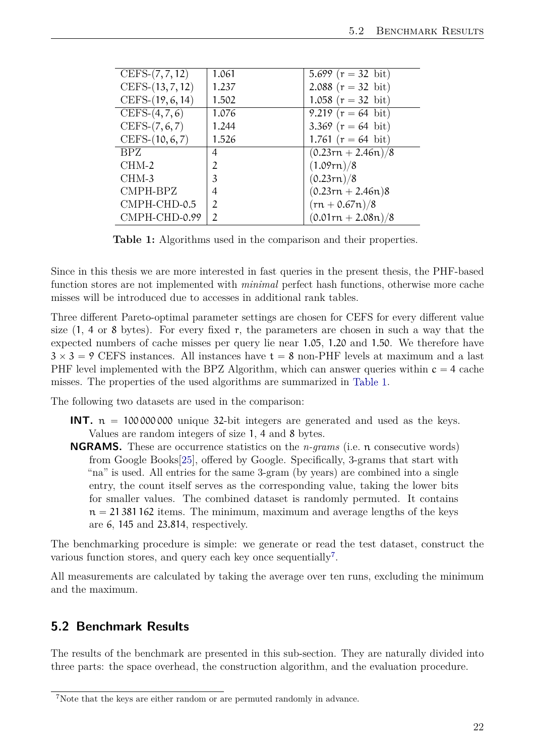<span id="page-29-2"></span>

| CEFS- $(7, 7, 12)$ | 1.061          | 5.699 $(r = 32 \text{ bit})$ |
|--------------------|----------------|------------------------------|
| CEFS-(13, 7, 12)   | 1.237          | 2.088 $(r = 32 \text{ bit})$ |
| CEFS-(19, 6, 14)   | 1.502          | 1.058 $(r = 32 \text{ bit})$ |
| CEFS- $(4, 7, 6)$  | 1.076          | 9.219 $(r = 64$ bit)         |
| $CEFS-(7, 6, 7)$   | 1.244          | 3.369 $(r = 64 \text{ bit})$ |
| $CEFS-(10, 6, 7)$  | 1.526          | 1.761 $(r = 64$ bit)         |
| <b>BPZ</b>         | 4              | $(0.23rn + 2.46n)/8$         |
| $CHM-2$            | $\mathfrak{D}$ | (1.09rn)/8                   |
| CHM-3              | 3              | (0.23rn)/8                   |
| CMPH-BPZ           | 4              | $(0.23rn + 2.46n)$ 8         |
| CMPH-CHD-0.5       | $\mathfrak{I}$ | $(rn + 0.67n)/8$             |
| CMPH-CHD-0.99      | $\mathfrak{D}$ | $(0.01rn + 2.08n)/8$         |

**Table 1:** Algorithms used in the comparison and their properties.

Since in this thesis we are more interested in fast queries in the present thesis, the PHF-based function stores are not implemented with *minimal* perfect hash functions, otherwise more cache misses will be introduced due to accesses in additional rank tables.

Three different Pareto-optimal parameter settings are chosen for CEFS for every different value size  $(1, 4 \text{ or } 8 \text{ bytes})$ . For every fixed r, the parameters are chosen in such a way that the expected numbers of cache misses per query lie near 1.05, 1.20 and 1.50. We therefore have  $3 \times 3 = 9$  CEFS instances. All instances have  $t = 8$  non-PHF levels at maximum and a last PHF level implemented with the BPZ Algorithm, which can answer queries within  $c = 4$  cache misses. The properties of the used algorithms are summarized in [Table 1.](#page-28-2)

The following two datasets are used in the comparison:

- **INT.**  $n = 100000000$  unique 32-bit integers are generated and used as the keys. Values are random integers of size 1, 4 and 8 bytes.
- **NGRAMS.** These are occurrence statistics on the *n-grams* (i.e. n consecutive words) from Google Books[\[25\]](#page-38-7), offered by Google. Specifically, 3-grams that start with "na" is used. All entries for the same 3-gram (by years) are combined into a single entry, the count itself serves as the corresponding value, taking the lower bits for smaller values. The combined dataset is randomly permuted. It contains  $n = 21381162$  items. The minimum, maximum and average lengths of the keys are 6, 145 and 23.814, respectively.

The benchmarking procedure is simple: we generate or read the test dataset, construct the various function stores, and query each key once sequentially<sup>[7](#page-29-1)</sup>.

All measurements are calculated by taking the average over ten runs, excluding the minimum and the maximum.

#### <span id="page-29-0"></span>**5.2 Benchmark Results**

The results of the benchmark are presented in this sub-section. They are naturally divided into three parts: the space overhead, the construction algorithm, and the evaluation procedure.

<span id="page-29-1"></span><sup>7</sup>Note that the keys are either random or are permuted randomly in advance.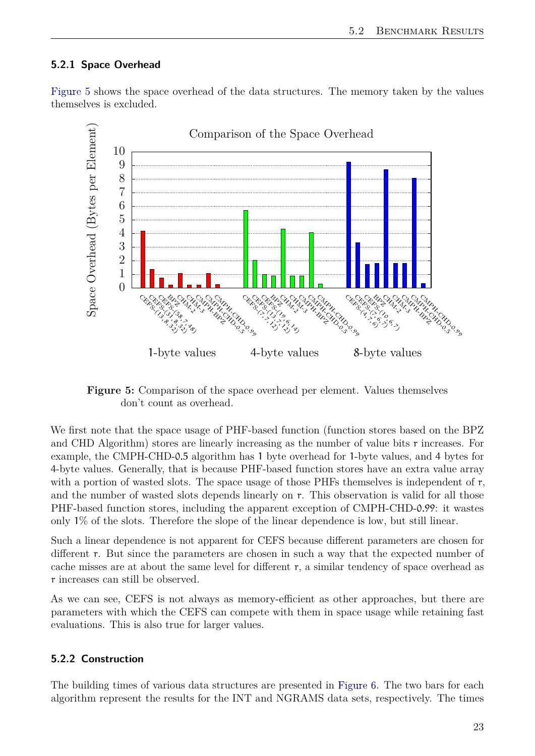#### <span id="page-30-0"></span>**5.2.1 Space Overhead**

[Figure 5](#page-30-2) shows the space overhead of the data structures. The memory taken by the values themselves is excluded.

<span id="page-30-2"></span>

**Figure 5:** Comparison of the space overhead per element. Values themselves don't count as overhead.

We first note that the space usage of PHF-based function (function stores based on the BPZ and CHD Algorithm) stores are linearly increasing as the number of value bits r increases. For example, the CMPH-CHD-0.5 algorithm has 1 byte overhead for 1-byte values, and 4 bytes for 4-byte values. Generally, that is because PHF-based function stores have an extra value array with a portion of wasted slots. The space usage of those PHFs themselves is independent of r, and the number of wasted slots depends linearly on r. This observation is valid for all those PHF-based function stores, including the apparent exception of CMPH-CHD-0.99: it wastes only 1% of the slots. Therefore the slope of the linear dependence is low, but still linear.

Such a linear dependence is not apparent for CEFS because different parameters are chosen for different r. But since the parameters are chosen in such a way that the expected number of cache misses are at about the same level for different r, a similar tendency of space overhead as r increases can still be observed.

As we can see, CEFS is not always as memory-efficient as other approaches, but there are parameters with which the CEFS can compete with them in space usage while retaining fast evaluations. This is also true for larger values.

#### <span id="page-30-1"></span>**5.2.2 Construction**

The building times of various data structures are presented in [Figure 6.](#page-31-1) The two bars for each algorithm represent the results for the INT and NGRAMS data sets, respectively. The times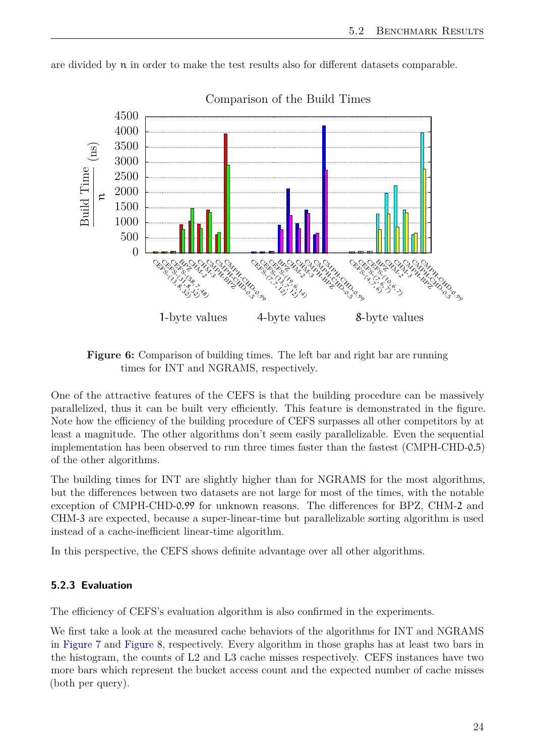

<span id="page-31-1"></span>are divided by n in order to make the test results also for different datasets comparable.

Comparison of the Build Times

One of the attractive features of the CEFS is that the building procedure can be massively parallelized, thus it can be built very efficiently. This feature is demonstrated in the figure. Note how the efficiency of the building procedure of CEFS surpasses all other competitors by at least a magnitude. The other algorithms don't seem easily parallelizable. Even the sequential implementation has been observed to run three times faster than the fastest (CMPH-CHD-0.5) of the other algorithms.

The building times for INT are slightly higher than for NGRAMS for the most algorithms, but the differences between two datasets are not large for most of the times, with the notable exception of CMPH-CHD-0.99 for unknown reasons. The differences for BPZ, CHM-2 and CHM-3 are expected, because a super-linear-time but parallelizable sorting algorithm is used instead of a cache-inefficient linear-time algorithm.

In this perspective, the CEFS shows definite advantage over all other algorithms.

#### <span id="page-31-0"></span>**5.2.3 Evaluation**

The efficiency of CEFS's evaluation algorithm is also confirmed in the experiments.

We first take a look at the measured cache behaviors of the algorithms for INT and NGRAMS in [Figure 7](#page-32-0) and [Figure 8,](#page-33-0) respectively. Every algorithm in those graphs has at least two bars in the histogram, the counts of L2 and L3 cache misses respectively. CEFS instances have two more bars which represent the bucket access count and the expected number of cache misses (both per query).

**Figure 6:** Comparison of building times. The left bar and right bar are running times for INT and NGRAMS, respectively.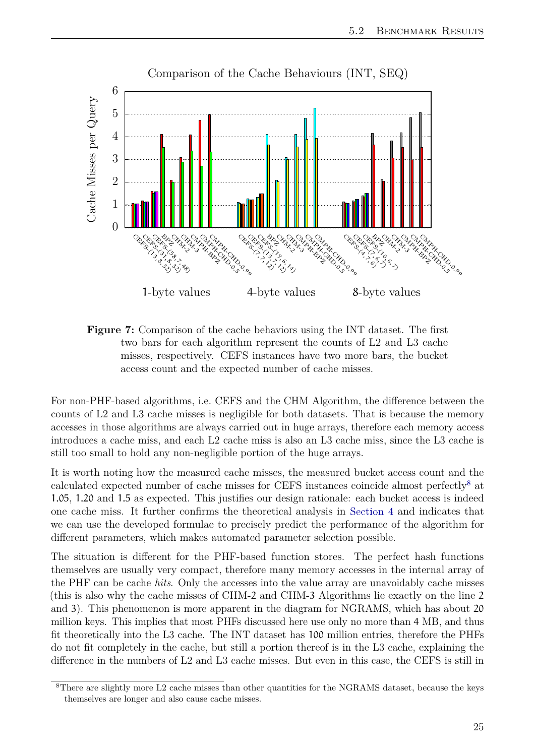<span id="page-32-0"></span>

**Figure 7:** Comparison of the cache behaviors using the INT dataset. The first two bars for each algorithm represent the counts of L2 and L3 cache misses, respectively. CEFS instances have two more bars, the bucket access count and the expected number of cache misses.

For non-PHF-based algorithms, i.e. CEFS and the CHM Algorithm, the difference between the counts of L2 and L3 cache misses is negligible for both datasets. That is because the memory accesses in those algorithms are always carried out in huge arrays, therefore each memory access introduces a cache miss, and each L2 cache miss is also an L3 cache miss, since the L3 cache is still too small to hold any non-negligible portion of the huge arrays.

It is worth noting how the measured cache misses, the measured bucket access count and the calculated expected number of cache misses for CEFS instances coincide almost perfectly[8](#page-32-1) at 1.05, 1.20 and 1.5 as expected. This justifies our design rationale: each bucket access is indeed one cache miss. It further confirms the theoretical analysis in [Section 4](#page-19-0) and indicates that we can use the developed formulae to precisely predict the performance of the algorithm for different parameters, which makes automated parameter selection possible.

The situation is different for the PHF-based function stores. The perfect hash functions themselves are usually very compact, therefore many memory accesses in the internal array of the PHF can be cache *hits*. Only the accesses into the value array are unavoidably cache misses (this is also why the cache misses of CHM-2 and CHM-3 Algorithms lie exactly on the line 2 and 3). This phenomenon is more apparent in the diagram for NGRAMS, which has about 20 million keys. This implies that most PHFs discussed here use only no more than 4 MB, and thus fit theoretically into the L3 cache. The INT dataset has 100 million entries, therefore the PHFs do not fit completely in the cache, but still a portion thereof is in the L3 cache, explaining the difference in the numbers of L2 and L3 cache misses. But even in this case, the CEFS is still in

<span id="page-32-1"></span><sup>8</sup>There are slightly more L2 cache misses than other quantities for the NGRAMS dataset, because the keys themselves are longer and also cause cache misses.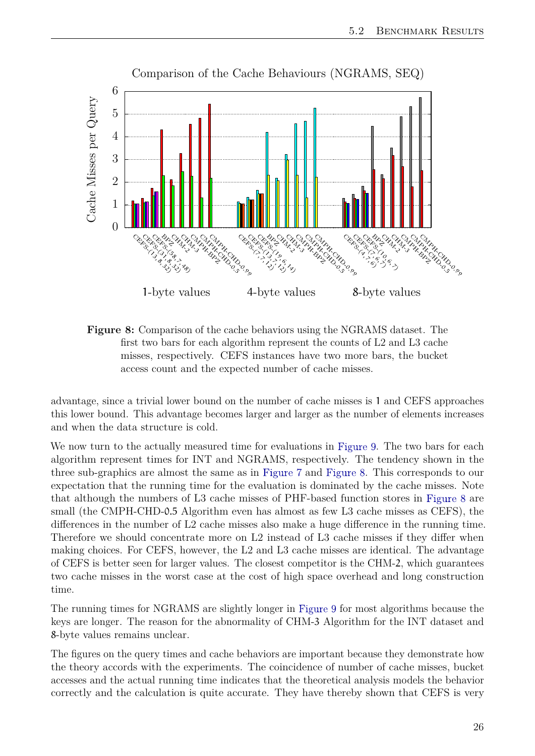<span id="page-33-0"></span>

**Figure 8:** Comparison of the cache behaviors using the NGRAMS dataset. The first two bars for each algorithm represent the counts of L2 and L3 cache misses, respectively. CEFS instances have two more bars, the bucket access count and the expected number of cache misses.

advantage, since a trivial lower bound on the number of cache misses is 1 and CEFS approaches this lower bound. This advantage becomes larger and larger as the number of elements increases and when the data structure is cold.

We now turn to the actually measured time for evaluations in [Figure 9.](#page-34-0) The two bars for each algorithm represent times for INT and NGRAMS, respectively. The tendency shown in the three sub-graphics are almost the same as in [Figure 7](#page-32-0) and [Figure 8.](#page-33-0) This corresponds to our expectation that the running time for the evaluation is dominated by the cache misses. Note that although the numbers of L3 cache misses of PHF-based function stores in [Figure 8](#page-33-0) are small (the CMPH-CHD-0.5 Algorithm even has almost as few L3 cache misses as CEFS), the differences in the number of L2 cache misses also make a huge difference in the running time. Therefore we should concentrate more on L2 instead of L3 cache misses if they differ when making choices. For CEFS, however, the L2 and L3 cache misses are identical. The advantage of CEFS is better seen for larger values. The closest competitor is the CHM-2, which guarantees two cache misses in the worst case at the cost of high space overhead and long construction time.

The running times for NGRAMS are slightly longer in [Figure 9](#page-34-0) for most algorithms because the keys are longer. The reason for the abnormality of CHM-3 Algorithm for the INT dataset and 8-byte values remains unclear.

The figures on the query times and cache behaviors are important because they demonstrate how the theory accords with the experiments. The coincidence of number of cache misses, bucket accesses and the actual running time indicates that the theoretical analysis models the behavior correctly and the calculation is quite accurate. They have thereby shown that CEFS is very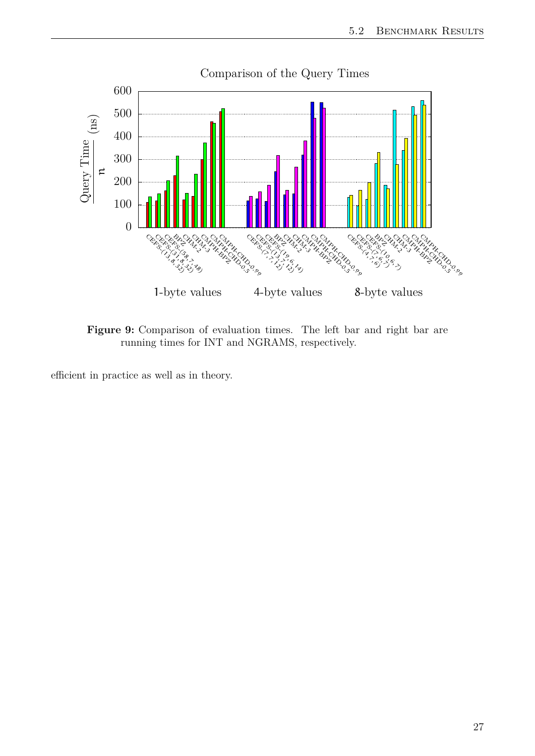<span id="page-34-0"></span>

**Figure 9:** Comparison of evaluation times. The left bar and right bar are running times for INT and NGRAMS, respectively.

efficient in practice as well as in theory.

#### 27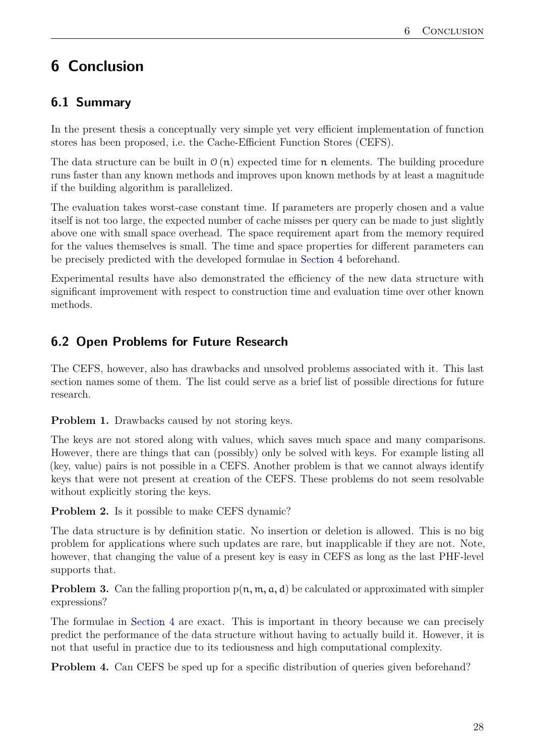## <span id="page-35-0"></span>**6 Conclusion**

## <span id="page-35-1"></span>**6.1 Summary**

In the present thesis a conceptually very simple yet very efficient implementation of function stores has been proposed, i.e. the Cache-Efficient Function Stores (CEFS).

The data structure can be built in  $\mathcal{O}(n)$  expected time for n elements. The building procedure runs faster than any known methods and improves upon known methods by at least a magnitude if the building algorithm is parallelized.

The evaluation takes worst-case constant time. If parameters are properly chosen and a value itself is not too large, the expected number of cache misses per query can be made to just slightly above one with small space overhead. The space requirement apart from the memory required for the values themselves is small. The time and space properties for different parameters can be precisely predicted with the developed formulae in [Section 4](#page-19-0) beforehand.

Experimental results have also demonstrated the efficiency of the new data structure with significant improvement with respect to construction time and evaluation time over other known methods.

## <span id="page-35-2"></span>**6.2 Open Problems for Future Research**

The CEFS, however, also has drawbacks and unsolved problems associated with it. This last section names some of them. The list could serve as a brief list of possible directions for future research.

**Problem 1.** Drawbacks caused by not storing keys.

The keys are not stored along with values, which saves much space and many comparisons. However, there are things that can (possibly) only be solved with keys. For example listing all (key, value) pairs is not possible in a CEFS. Another problem is that we cannot always identify keys that were not present at creation of the CEFS. These problems do not seem resolvable without explicitly storing the keys.

**Problem 2.** Is it possible to make CEFS dynamic?

The data structure is by definition static. No insertion or deletion is allowed. This is no big problem for applications where such updates are rare, but inapplicable if they are not. Note, however, that changing the value of a present key is easy in CEFS as long as the last PHF-level supports that.

**Problem 3.** Can the falling proportion  $p(n, m, a, d)$  be calculated or approximated with simpler expressions?

The formulae in [Section 4](#page-19-0) are exact. This is important in theory because we can precisely predict the performance of the data structure without having to actually build it. However, it is not that useful in practice due to its tediousness and high computational complexity.

**Problem 4.** Can CEFS be sped up for a specific distribution of queries given beforehand?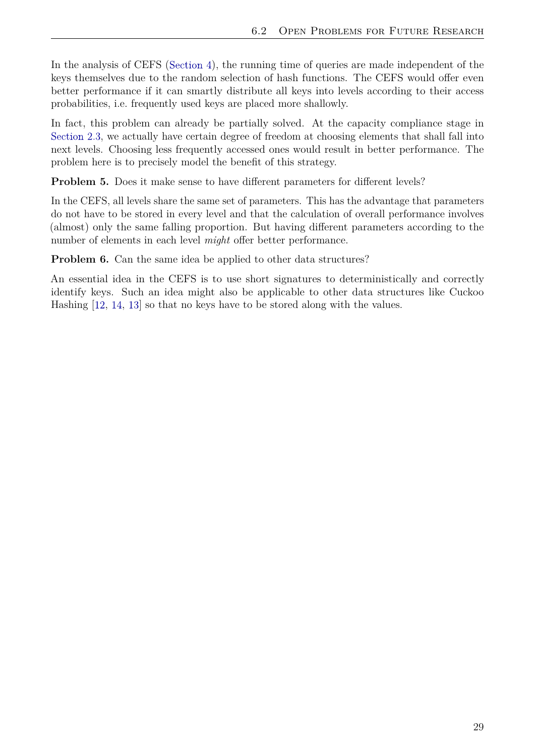<span id="page-36-1"></span>In the analysis of CEFS [\(Section 4\)](#page-19-0), the running time of queries are made independent of the keys themselves due to the random selection of hash functions. The CEFS would offer even better performance if it can smartly distribute all keys into levels according to their access probabilities, i.e. frequently used keys are placed more shallowly.

In fact, this problem can already be partially solved. At the capacity compliance stage in [Section 2.3,](#page-13-0) we actually have certain degree of freedom at choosing elements that shall fall into next levels. Choosing less frequently accessed ones would result in better performance. The problem here is to precisely model the benefit of this strategy.

**Problem 5.** Does it make sense to have different parameters for different levels?

In the CEFS, all levels share the same set of parameters. This has the advantage that parameters do not have to be stored in every level and that the calculation of overall performance involves (almost) only the same falling proportion. But having different parameters according to the number of elements in each level *might* offer better performance.

<span id="page-36-0"></span>**Problem 6.** Can the same idea be applied to other data structures?

An essential idea in the CEFS is to use short signatures to deterministically and correctly identify keys. Such an idea might also be applicable to other data structures like Cuckoo Hashing [\[12,](#page-37-11) [14,](#page-37-13) [13\]](#page-37-12) so that no keys have to be stored along with the values.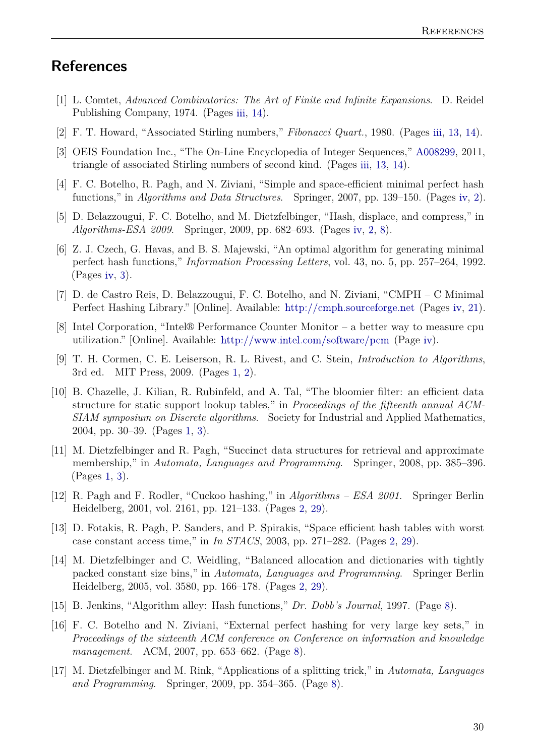### **References**

- <span id="page-37-0"></span>[1] L. Comtet, *Advanced Combinatorics: The Art of Finite and Infinite Expansions*. D. Reidel Publishing Company, 1974. (Pages [iii,](#page-6-0) [14\)](#page-21-1).
- <span id="page-37-1"></span>[2] F. T. Howard, "Associated Stirling numbers," *Fibonacci Quart.*, 1980. (Pages [iii,](#page-6-0) [13,](#page-20-0) [14\)](#page-21-1).
- <span id="page-37-2"></span>[3] OEIS Foundation Inc., "The On-Line Encyclopedia of Integer Sequences," [A008299,](http://oeis.org/A008299) 2011, triangle of associated Stirling numbers of second kind. (Pages [iii,](#page-6-0) [13,](#page-20-0) [14\)](#page-21-1).
- <span id="page-37-3"></span>[4] F. C. Botelho, R. Pagh, and N. Ziviani, "Simple and space-efficient minimal perfect hash functions," in *Algorithms and Data Structures*. Springer, 2007, pp. 139–150. (Pages [iv,](#page-7-0) [2\)](#page-9-1).
- <span id="page-37-4"></span>[5] D. Belazzougui, F. C. Botelho, and M. Dietzfelbinger, "Hash, displace, and compress," in *Algorithms-ESA 2009*. Springer, 2009, pp. 682–693. (Pages [iv,](#page-7-0) [2,](#page-9-1) [8\)](#page-15-3).
- <span id="page-37-5"></span>[6] Z. J. Czech, G. Havas, and B. S. Majewski, "An optimal algorithm for generating minimal perfect hash functions," *Information Processing Letters*, vol. 43, no. 5, pp. 257–264, 1992. (Pages [iv,](#page-7-0) [3\)](#page-10-2).
- <span id="page-37-6"></span>[7] D. de Castro Reis, D. Belazzougui, F. C. Botelho, and N. Ziviani, "CMPH – C Minimal Perfect Hashing Library." [Online]. Available: <http://cmph.sourceforge.net> (Pages [iv,](#page-7-0) [21\)](#page-28-3).
- <span id="page-37-7"></span>[8] Intel Corporation, "Intel® Performance Counter Monitor – a better way to measure cpu utilization." [Online]. Available: <http://www.intel.com/software/pcm> (Page [iv\)](#page-7-0).
- <span id="page-37-8"></span>[9] T. H. Cormen, C. E. Leiserson, R. L. Rivest, and C. Stein, *Introduction to Algorithms*, 3rd ed. MIT Press, 2009. (Pages [1,](#page-8-3) [2\)](#page-9-1).
- <span id="page-37-9"></span>[10] B. Chazelle, J. Kilian, R. Rubinfeld, and A. Tal, "The bloomier filter: an efficient data structure for static support lookup tables," in *Proceedings of the fifteenth annual ACM-SIAM symposium on Discrete algorithms*. Society for Industrial and Applied Mathematics, 2004, pp. 30–39. (Pages [1,](#page-8-3) [3\)](#page-10-2).
- <span id="page-37-10"></span>[11] M. Dietzfelbinger and R. Pagh, "Succinct data structures for retrieval and approximate membership," in *Automata, Languages and Programming*. Springer, 2008, pp. 385–396. (Pages [1,](#page-8-3) [3\)](#page-10-2).
- <span id="page-37-11"></span>[12] R. Pagh and F. Rodler, "Cuckoo hashing," in *Algorithms – ESA 2001*. Springer Berlin Heidelberg, 2001, vol. 2161, pp. 121–133. (Pages [2,](#page-9-1) [29\)](#page-36-1).
- <span id="page-37-12"></span>[13] D. Fotakis, R. Pagh, P. Sanders, and P. Spirakis, "Space efficient hash tables with worst case constant access time," in *In STACS*, 2003, pp. 271–282. (Pages [2,](#page-9-1) [29\)](#page-36-1).
- <span id="page-37-13"></span>[14] M. Dietzfelbinger and C. Weidling, "Balanced allocation and dictionaries with tightly packed constant size bins," in *Automata, Languages and Programming*. Springer Berlin Heidelberg, 2005, vol. 3580, pp. 166–178. (Pages [2,](#page-9-1) [29\)](#page-36-1).
- <span id="page-37-14"></span>[15] B. Jenkins, "Algorithm alley: Hash functions," *Dr. Dobb's Journal*, 1997. (Page [8\)](#page-15-3).
- <span id="page-37-15"></span>[16] F. C. Botelho and N. Ziviani, "External perfect hashing for very large key sets," in *Proceedings of the sixteenth ACM conference on Conference on information and knowledge management*. ACM, 2007, pp. 653–662. (Page [8\)](#page-15-3).
- <span id="page-37-16"></span>[17] M. Dietzfelbinger and M. Rink, "Applications of a splitting trick," in *Automata, Languages and Programming*. Springer, 2009, pp. 354–365. (Page [8\)](#page-15-3).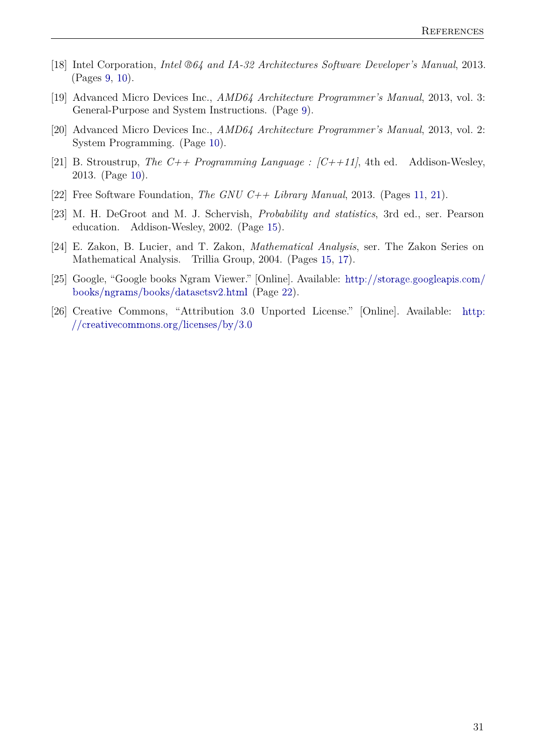- <span id="page-38-0"></span>[18] Intel Corporation, *Intel ®64 and IA-32 Architectures Software Developer's Manual*, 2013. (Pages [9,](#page-16-3) [10\)](#page-17-2).
- <span id="page-38-1"></span>[19] Advanced Micro Devices Inc., *AMD64 Architecture Programmer's Manual*, 2013, vol. 3: General-Purpose and System Instructions. (Page [9\)](#page-16-3).
- <span id="page-38-2"></span>[20] Advanced Micro Devices Inc., *AMD64 Architecture Programmer's Manual*, 2013, vol. 2: System Programming. (Page [10\)](#page-17-2).
- <span id="page-38-3"></span>[21] B. Stroustrup, *The C++ Programming Language : [C++11]*, 4th ed. Addison-Wesley, 2013. (Page [10\)](#page-17-2).
- <span id="page-38-4"></span>[22] Free Software Foundation, *The GNU C++ Library Manual*, 2013. (Pages [11,](#page-18-1) [21\)](#page-28-3).
- <span id="page-38-5"></span>[23] M. H. DeGroot and M. J. Schervish, *Probability and statistics*, 3rd ed., ser. Pearson education. Addison-Wesley, 2002. (Page [15\)](#page-22-2).
- <span id="page-38-6"></span>[24] E. Zakon, B. Lucier, and T. Zakon, *Mathematical Analysis*, ser. The Zakon Series on Mathematical Analysis. Trillia Group, 2004. (Pages [15,](#page-22-2) [17\)](#page-24-3).
- <span id="page-38-7"></span>[25] Google, "Google books Ngram Viewer." [Online]. Available: [http://storage.googleapis.com/](http://storage.googleapis.com/books/ngrams/books/datasetsv2.html) [books/ngrams/books/datasetsv2.html](http://storage.googleapis.com/books/ngrams/books/datasetsv2.html) (Page [22\)](#page-29-2).
- [26] Creative Commons, "Attribution 3.0 Unported License." [Online]. Available: [http:](http://creativecommons.org/licenses/by/3.0) [//creativecommons.org/licenses/by/3.0](http://creativecommons.org/licenses/by/3.0)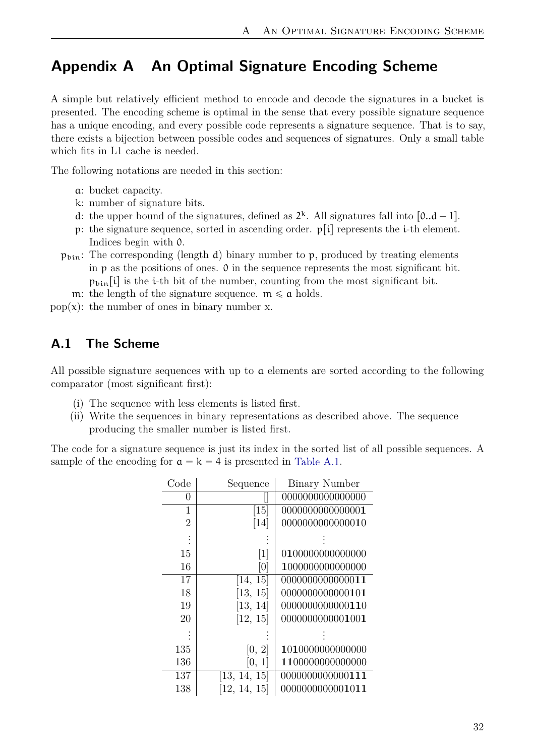## <span id="page-39-0"></span>**Appendix A An Optimal Signature Encoding Scheme**

A simple but relatively efficient method to encode and decode the signatures in a bucket is presented. The encoding scheme is optimal in the sense that every possible signature sequence has a unique encoding, and every possible code represents a signature sequence. That is to say, there exists a bijection between possible codes and sequences of signatures. Only a small table which fits in L1 cache is needed.

The following notations are needed in this section:

- a: bucket capacity.
- k: number of signature bits.
- d: the upper bound of the signatures, defined as  $2^k$ . All signatures fall into  $[0..d-1]$ .
- p: the signature sequence, sorted in ascending order.  $p[i]$  represents the *i*-th element. Indices begin with 0.
- $p_{\text{bin}}$ : The corresponding (length d) binary number to p, produced by treating elements in p as the positions of ones. 0 in the sequence represents the most significant bit.  $p_{\text{bin}}[i]$  is the *i*-th bit of the number, counting from the most significant bit.
	- m: the length of the signature sequence.  $m \leq a$  holds.
- pop(x): the number of ones in binary number x.

#### <span id="page-39-1"></span>**A.1 The Scheme**

All possible signature sequences with up to a elements are sorted according to the following comparator (most significant first):

- (i) The sequence with less elements is listed first.
- (ii) Write the sequences in binary representations as described above. The sequence producing the smaller number is listed first.

<span id="page-39-2"></span>The code for a signature sequence is just its index in the sorted list of all possible sequences. A sample of the encoding for  $a = k = 4$  is presented in [Table A.1.](#page-39-2)

| Code           | Sequence          | <b>Binary Number</b> |
|----------------|-------------------|----------------------|
| 0              |                   | 0000000000000000     |
| 1              | $\left[15\right]$ | 0000000000000001     |
| $\overline{2}$ | [14]              | 0000000000000010     |
| $\ddot{\cdot}$ |                   |                      |
| 15             | $\lceil 1 \rceil$ | 0100000000000000     |
| 16             | [0]               | 1000000000000000     |
| 17             | [14, 15]          | 0000000000000011     |
| 18             | [13, 15]          | 0000000000000101     |
| 19             | [13, 14]          | 0000000000000110     |
| 20             | [12, 15]          | 0000000000001001     |
|                |                   |                      |
| 135            | [0, 2]            | 1010000000000000     |
| 136            | [0, 1]            | 1100000000000000     |
| 137            | [13, 14, 15]      | 0000000000000111     |
| 138            | [12, 14, 15]      | 0000000000001011     |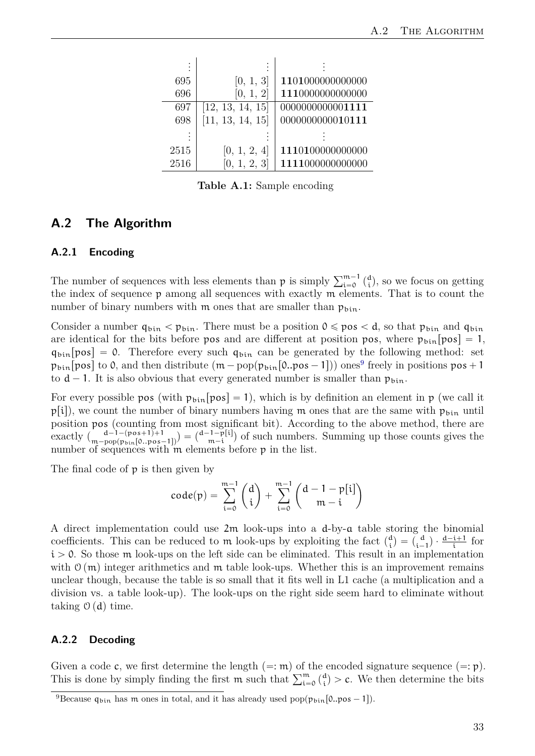| 695  | [0, 1, 3]        | 1101000000000000 |
|------|------------------|------------------|
| 696  | [0, 1, 2]        | 1110000000000000 |
| 697  | [12, 13, 14, 15] | 0000000000001111 |
| 698  | [11, 13, 14, 15] | 0000000000010111 |
|      |                  |                  |
| 2515 | [0, 1, 2, 4]     | 1110100000000000 |
| 2516 | [0, 1, 2, 3]     | 1111000000000000 |

**Table A.1:** Sample encoding

#### <span id="page-40-0"></span>**A.2 The Algorithm**

#### <span id="page-40-1"></span>**A.2.1 Encoding**

The number of sequences with less elements than  $p$  is simply  $\sum_{i=0}^{m-1} {d \choose i}$  $\binom{d}{i}$ , so we focus on getting the index of sequence p among all sequences with exactly m elements. That is to count the number of binary numbers with m ones that are smaller than  $p_{\text{bin}}$ .

Consider a number  $q_{\text{bin}} < p_{\text{bin}}$ . There must be a position  $0 \leqslant pos < d$ , so that  $p_{\text{bin}}$  and  $q_{\text{bin}}$ are identical for the bits before pos and are different at position pos, where  $p_{\text{bin}}[pos] = 1$ ,  $q_{\text{bin}}$  [pos] = 0. Therefore every such  $q_{\text{bin}}$  can be generated by the following method: set  $p_{\text{bin}}[\text{pos}]$  to 0, and then distribute  $(\text{m}-\text{pop}(\text{p}_{\text{bin}}[0..\text{pos}-1]))$  ones<sup>[9](#page-40-3)</sup> freely in positions  $\text{pos} + 1$ to  $d - 1$ . It is also obvious that every generated number is smaller than  $p_{\text{bin}}$ .

For every possible pos (with  $p_{\text{bin}}$   $[pos] = 1$ ), which is by definition an element in p (we call it  $p[i]$ , we count the number of binary numbers having m ones that are the same with  $p_{\text{bin}}$  until position pos (counting from most significant bit). According to the above method, there are exactly  $\binom{d-1-(\text{pos}+1)+1}{m-\text{pop}(\text{p}_{\text{bin}}[0..\text{pos}-1])} = \binom{d-1-\text{p}[i]}{m-i}$  $\binom{n-p[i]}{m-i}$  of such numbers. Summing up those counts gives the number of sequences with  $\mathbf{\hat{m}}$  elements before  $\mathbf{p}$  in the list.

The final code of p is then given by

$$
code(p) = \sum_{i=0}^{m-1} {d \choose i} + \sum_{i=0}^{m-1} {d-1-p[i] \choose m-i}
$$

A direct implementation could use 2m look-ups into a d-by-a table storing the binomial coefficients. This can be reduced to m look-ups by exploiting the fact  $\binom{d}{i}$  $\binom{d}{i} = \binom{d}{i}$  $\frac{d}{i-1}$   $\cdot \frac{d-i+1}{i}$  for  $i > 0$ . So those m look-ups on the left side can be eliminated. This result in an implementation with  $\mathcal{O}(m)$  integer arithmetics and m table look-ups. Whether this is an improvement remains unclear though, because the table is so small that it fits well in L1 cache (a multiplication and a division vs. a table look-up). The look-ups on the right side seem hard to eliminate without taking  $\mathcal{O}(d)$  time.

#### <span id="page-40-2"></span>**A.2.2 Decoding**

Given a code c, we first determine the length  $(=: \mathfrak{m})$  of the encoded signature sequence  $(=: \mathfrak{p})$ . Given a code c, we first determine the length  $(=:\mathfrak{m})$  of the This is done by simply finding the first  $\mathfrak{m}$  such that  $\sum_{i=0}^{\mathfrak{m}} {d \choose i}$  $\binom{d}{i}$  > c. We then determine the bits

<span id="page-40-3"></span><sup>&</sup>lt;sup>9</sup>Because  $q_{\text{bin}}$  has m ones in total, and it has already used pop( $p_{\text{bin}}[0..pos - 1]$ ).